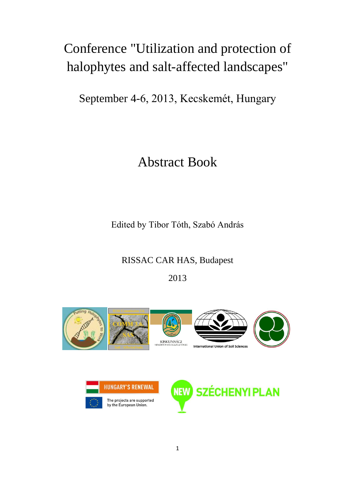# Conference "Utilization and protection of halophytes and salt-affected landscapes"

September 4-6, 2013, Kecskemét, Hungary

# Abstract Book

Edited by Tibor Tóth, Szabó András

## RISSAC CAR HAS, Budapest

2013





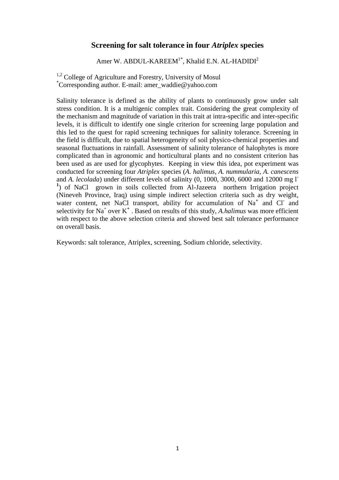### **Screening for salt tolerance in four** *Atriplex* **species**

Amer W. ABDUL-KAREEM<sup>1\*</sup>, Khalid E.N. AL-HADIDI<sup>2</sup>

<sup>1,2</sup> College of Agriculture and Forestry, University of Mosul \*Corresponding author. E-mail: [amer\\_waddie@yahoo.com](mailto:amer_waddie@yahoo.com)

Salinity tolerance is defined as the ability of plants to continuously grow under salt stress condition. It is a multigenic complex trait. Considering the great complexity of the mechanism and magnitude of variation in this trait at intra-specific and inter-specific levels, it is difficult to identify one single criterion for screening large population and this led to the quest for rapid screening techniques for salinity tolerance. Screening in the field is difficult, due to spatial heterogeneity of soil physico-chemical properties and seasonal fluctuations in rainfall. Assessment of salinity tolerance of halophytes is more complicated than in agronomic and horticultural plants and no consistent criterion has been used as are used for glycophytes. Keeping in view this idea, pot experiment was conducted for screening four *Atriplex* species (*A. halimus*, *A. nummularia*, *A. canescens* and *A. lecolada*) under different levels of salinity (0, 1000, 3000, 6000 and 12000 mg l**-**<sup>1</sup>) of NaCl grown in soils collected from Al-Jazeera northern Irrigation project (Nineveh Province, Iraq) using simple indirect selection criteria such as dry weight, water content, net NaCl transport, ability for accumulation of Na<sup>+</sup> and Cl<sup>-</sup> and selectivity for Na<sup>+</sup> over K<sup>+</sup>. Based on results of this study, *A.halimus* was more efficient with respect to the above selection criteria and showed best salt tolerance performance on overall basis.

Keywords: salt tolerance, Atriplex, screening, Sodium chloride, selectivity.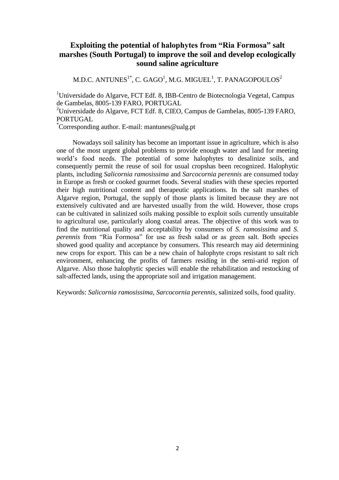## **Exploiting the potential of halophytes from "Ria Formosa" salt marshes (South Portugal) to improve the soil and develop ecologically sound saline agriculture**

M.D.C. ANTUNES $^{1^\ast}$ , C. GAGO $^1$ , M.G. MIGUEL $^1$ , T. PANAGOPOULOS $^2$ 

<sup>1</sup>Universidade do Algarve, FCT Edf. 8, IBB-Centro de Biotecnologia Vegetal, Campus de Gambelas, 8005-139 FARO, PORTUGAL

<sup>2</sup>Universidade do Algarve, FCT Edf. 8, CIEO, Campus de Gambelas,  $8005$ -139 FARO, PORTUGAL

\*Corresponding author. E-mail: mantunes@ualg.pt

Nowadays soil salinity has become an important issue in agriculture, which is also one of the most urgent global problems to provide enough water and land for meeting world's food needs. The potential of some halophytes to desalinize soils, and consequently permit the reuse of soil for usual cropshas been recognized. Halophytic plants, including *Salicornia ramosissima* and *Sarcocornia perennis* are consumed today in Europe as fresh or cooked gourmet foods. Several studies with these species reported their high nutritional content and therapeutic applications. In the salt marshes of Algarve region, Portugal, the supply of those plants is limited because they are not extensively cultivated and are harvested usually from the wild. However, those crops can be cultivated in salinized soils making possible to exploit soils currently unsuitable to agricultural use, particularly along coastal areas. The objective of this work was to find the nutritional quality and acceptability by consumers of *S. ramosissima* and *S. perennis* from "Ria Formosa" for use as fresh salad or as green salt. Both species showed good quality and acceptance by consumers. This research may aid determining new crops for export. This can be a new chain of halophyte crops resistant to salt rich environment, enhancing the profits of farmers residing in the semi-arid region of Algarve. Also those halophytic species will enable the rehabilitation and restocking of salt-affected lands, using the appropriate soil and irrigation management.

Keywords: *Salicornia ramosissima, Sarcocornia perennis,* salinized soils, food quality.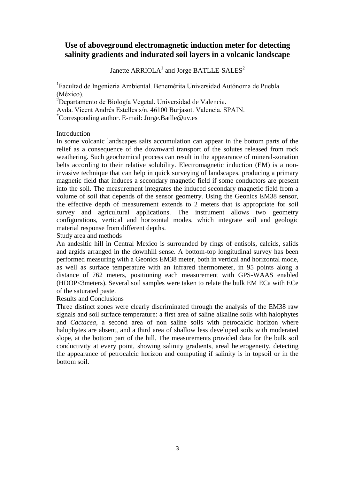## **Use of aboveground electromagnetic induction meter for detecting salinity gradients and indurated soil layers in a volcanic landscape**

Janette  $\text{ARRIOLA}^1$  and Jorge BATLLE-SALES<sup>2</sup>

<sup>1</sup>Facultad de Ingenieria Ambiental. Benemérita Universidad Autónoma de Puebla (México).

<sup>2</sup>Departamento de Biología Vegetal. Universidad de Valencia.

Avda. Vicent Andrés Estelles s/n. 46100 Burjasot. Valencia. SPAIN.

\*Corresponding author. E-mail: Jorge.Batlle@uv.es

#### Introduction

In some volcanic landscapes salts accumulation can appear in the bottom parts of the relief as a consequence of the downward transport of the solutes released from rock weathering. Such geochemical process can result in the appearance of mineral-zonation belts according to their relative solubility. Electromagnetic induction (EM) is a noninvasive technique that can help in quick surveying of landscapes, producing a primary magnetic field that induces a secondary magnetic field if some conductors are present into the soil. The measurement integrates the induced secondary magnetic field from a volume of soil that depends of the sensor geometry. Using the Geonics EM38 sensor, the effective depth of measurement extends to 2 meters that is appropriate for soil survey and agricultural applications. The instrument allows two geometry configurations, vertical and horizontal modes, which integrate soil and geologic material response from different depths.

Study area and methods

An andesitic hill in Central Mexico is surrounded by rings of entisols, calcids, salids and argids arranged in the downhill sense. A bottom-top longitudinal survey has been performed measuring with a Geonics EM38 meter, both in vertical and horizontal mode, as well as surface temperature with an infrared thermometer, in 95 points along a distance of 762 meters, positioning each measurement with GPS-WAAS enabled (HDOP<3meters). Several soil samples were taken to relate the bulk EM ECa with ECe of the saturated paste.

Results and Conclusions

Three distinct zones were clearly discriminated through the analysis of the EM38 raw signals and soil surface temperature: a first area of saline alkaline soils with halophytes and *Cactacea*, a second area of non saline soils with petrocalcic horizon where halophytes are absent, and a third area of shallow less developed soils with moderated slope, at the bottom part of the hill. The measurements provided data for the bulk soil conductivity at every point, showing salinity gradients, areal heterogeneity, detecting the appearance of petrocalcic horizon and computing if salinity is in topsoil or in the bottom soil.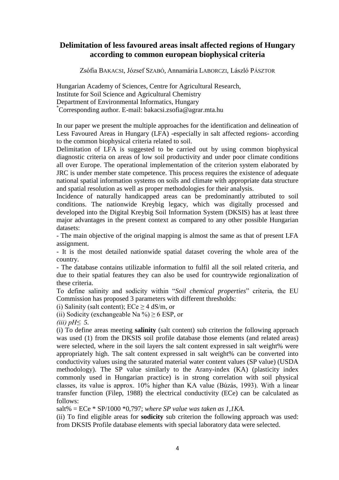## **Delimitation of less favoured areas insalt affected regions of Hungary according to common european biophysical criteria**

Zsófia BAKACSI, József SZABÓ, Annamária LABORCZI, László PÁSZTOR

Hungarian Academy of Sciences, Centre for Agricultural Research, Institute for Soil Science and Agricultural Chemistry Department of Environmental Informatics, Hungary \*Corresponding author. E-mail: bakacsi.zsofia@agrar.mta.hu

In our paper we present the multiple approaches for the identification and delineation of Less Favoured Areas in Hungary (LFA) -especially in salt affected regions- according to the common biophysical criteria related to soil.

Delimitation of LFA is suggested to be carried out by using common biophysical diagnostic criteria on areas of low soil productivity and under poor climate conditions all over Europe. The operational implementation of the criterion system elaborated by JRC is under member state competence. This process requires the existence of adequate national spatial information systems on soils and climate with appropriate data structure and spatial resolution as well as proper methodologies for their analysis.

Incidence of naturally handicapped areas can be predominantly attributed to soil conditions. The nationwide Kreybig legacy, which was digitally processed and developed into the Digital Kreybig Soil Information System (DKSIS) has at least three major advantages in the present context as compared to any other possible Hungarian datasets:

- The main objective of the original mapping is almost the same as that of present LFA assignment.

- It is the most detailed nationwide spatial dataset covering the whole area of the country.

- The database contains utilizable information to fulfil all the soil related criteria, and due to their spatial features they can also be used for countrywide regionalization of these criteria.

To define salinity and sodicity within "*Soil chemical properties*" criteria, the EU Commission has proposed 3 parameters with different thresholds:

(i) Salinity (salt content);  $\text{ECe} \geq 4$  dS/m, or

(ii) Sodicity (exchangeable Na %)  $\geq$  6 ESP, or

*(iii) pH≤ 5.*

(i) To define areas meeting **salinity** (salt content) sub criterion the following approach was used (1) from the DKSIS soil profile database those elements (and related areas) were selected, where in the soil layers the salt content expressed in salt weight% were appropriately high. The salt content expressed in salt weight% can be converted into conductivity values using the saturated material water content values (SP value) (USDA methodology). The SP value similarly to the Arany-index (KA) (plasticity index commonly used in Hungarian practice) is in strong correlation with soil physical classes, its value is approx. 10% higher than KA value (Búzás, 1993). With a linear transfer function (Filep, 1988) the electrical conductivity (ECe) can be calculated as follows:

salt% = ECe \* SP/1000 \*0,797; *where SP value was taken as 1,1KA.*

(ii) To find eligible areas for **sodicity** sub criterion the following approach was used: from DKSIS Profile database elements with special laboratory data were selected.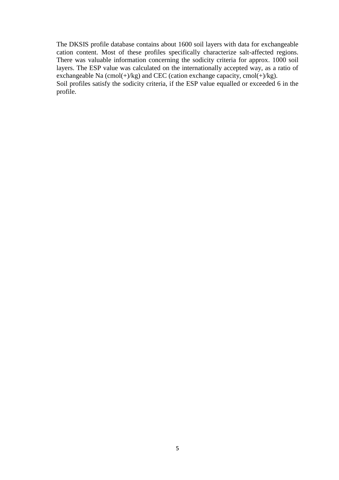The DKSIS profile database contains about 1600 soil layers with data for exchangeable cation content. Most of these profiles specifically characterize salt-affected regions. There was valuable information concerning the sodicity criteria for approx. 1000 soil layers. The ESP value was calculated on the internationally accepted way, as a ratio of exchangeable Na  $(\text{cmol}(+)/\text{kg})$  and CEC (cation exchange capacity, cmol $(+)/\text{kg})$ . Soil profiles satisfy the sodicity criteria, if the ESP value equalled or exceeded 6 in the profile.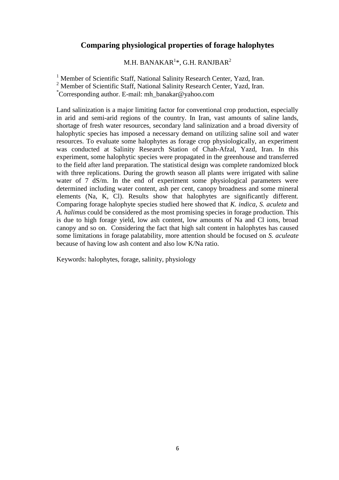## **Comparing physiological properties of forage halophytes**

M.H. BANAKAR $^{1\ast}$ , G.H. RANJBAR $^{2}$ 

<sup>1</sup> Member of Scientific Staff, National Salinity Research Center, Yazd, Iran.

<sup>2</sup> Member of Scientific Staff, National Salinity Research Center, Yazd, Iran.

\*Corresponding author. E-mail: mh\_banakar@yahoo.com

Land salinization is a major limiting factor for conventional crop production, especially in arid and semi-arid regions of the country. In Iran, vast amounts of saline lands, shortage of fresh water resources, secondary land salinization and a broad diversity of halophytic species has imposed a necessary demand on utilizing saline soil and water resources. To evaluate some halophytes as forage crop physiologically, an experiment was conducted at Salinity Research Station of Chah-Afzal, Yazd, Iran. In this experiment, some halophytic species were propagated in the greenhouse and transferred to the field after land preparation. The statistical design was complete randomized block with three replications. During the growth season all plants were irrigated with saline water of 7 dS/m. In the end of experiment some physiological parameters were determined including water content, ash per cent, canopy broadness and some mineral elements (Na, K, Cl). Results show that halophytes are significantly different. Comparing forage halophyte species studied here showed that *K. indica*, *S. aculeta* and *A. halimus* could be considered as the most promising species in forage production. This is due to high forage yield, low ash content, low amounts of Na and Cl ions, broad canopy and so on. Considering the fact that high salt content in halophytes has caused some limitations in forage palatability, more attention should be focused on *S. aculeate* because of having low ash content and also low K/Na ratio.

Keywords: halophytes, forage, salinity, physiology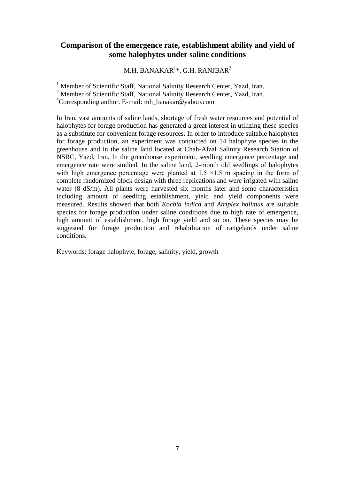## **Comparison of the emergence rate, establishment ability and yield of some halophytes under saline conditions**

M.H. BANAKAR $^{1\ast}$ , G.H. RANJBAR $^{2}$ 

<sup>1</sup> Member of Scientific Staff, National Salinity Research Center, Yazd, Iran. <sup>2</sup> Member of Scientific Staff, National Salinity Research Center, Yazd, Iran.

\*Corresponding author. E-mail: mh\_banakar@yahoo.com

In Iran, vast amounts of saline lands, shortage of fresh water resources and potential of halophytes for forage production has generated a great interest in utilizing these species as a substitute for convenient forage resources. In order to introduce suitable halophytes for forage production, an experiment was conducted on 14 halophyte species in the greenhouse and in the saline land located at Chah-Afzal Salinity Research Station of NSRC, Yazd, Iran. In the greenhouse experiment, seedling emergence percentage and emergence rate were studied. In the saline land, 2-month old seedlings of halophytes with high emergence percentage were planted at  $1.5 \times 1.5$  m spacing in the form of complete randomized block design with three replications and were irrigated with saline water (8 dS/m). All plants were harvested six months later and some characteristics including amount of seedling establishment, yield and yield components were measured. Results showed that both *Kochia indica* and *Atriplex halimus* are suitable species for forage production under saline conditions due to high rate of emergence, high amount of establishment, high forage yield and so on. These species may be suggested for forage production and rehabilitation of rangelands under saline conditions.

Keywords: forage halophyte, forage, salinity, yield, growth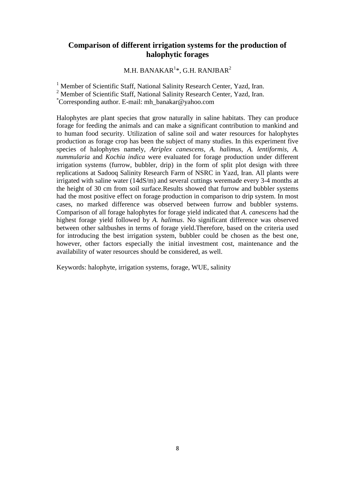## **Comparison of different irrigation systems for the production of halophytic forages**

M.H. BANAKAR $^{1\ast}$ , G.H. RANJBAR $^{2}$ 

<sup>1</sup> Member of Scientific Staff, National Salinity Research Center, Yazd, Iran. <sup>2</sup> Member of Scientific Staff, National Salinity Research Center, Yazd, Iran. \*Corresponding author. E-mail: mh\_banakar@yahoo.com

Halophytes are plant species that grow naturally in saline habitats. They can produce forage for feeding the animals and can make a significant contribution to mankind and to human food security. Utilization of saline soil and water resources for halophytes production as forage crop has been the subject of many studies. In this experiment five species of halophytes namely, *Atriplex canescens, A. halimus, A. lentiformis, A. nummularia* and *Kochia indica* were evaluated for forage production under different irrigation systems (furrow, bubbler, drip) in the form of split plot design with three replications at Sadooq Salinity Research Farm of NSRC in Yazd, Iran. All plants were irrigated with saline water (14dS/m) and several cuttings weremade every 3-4 months at the height of 30 cm from soil surface.Results showed that furrow and bubbler systems had the most positive effect on forage production in comparison to drip system. In most cases, no marked difference was observed between furrow and bubbler systems. Comparison of all forage halophytes for forage yield indicated that *A. canescens* had the highest forage yield followed by *A. halimus*. No significant difference was observed between other saltbushes in terms of forage yield.Therefore, based on the criteria used for introducing the best irrigation system, bubbler could be chosen as the best one, however, other factors especially the initial investment cost, maintenance and the availability of water resources should be considered, as well.

Keywords: halophyte, irrigation systems, forage, WUE, salinity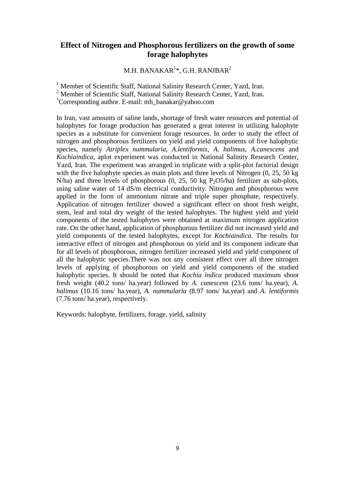#### **Effect of Nitrogen and Phosphorous fertilizers on the growth of some forage halophytes**

M.H. BANAKAR $^{1\ast}$ , G.H. RANJBAR $^{2}$ 

<sup>1</sup> Member of Scientific Staff, National Salinity Research Center, Yazd, Iran.

<sup>2</sup> Member of Scientific Staff, National Salinity Research Center, Yazd, Iran.

\*Corresponding author. E-mail: mh\_banakar@yahoo.com

In Iran, vast amounts of saline lands, shortage of fresh water resources and potential of halophytes for forage production has generated a great interest in utilizing halophyte species as a substitute for convenient forage resources. In order to study the effect of nitrogen and phosphorous fertilizers on yield and yield components of five halophytic species, namely *Atriplex nummularia, A.lentiformis*, *A. halimus*, *A.canescens* and *Kochiaindica*, aplot experiment was conducted in National Salinity Research Center, Yazd, Iran. The experiment was arranged in triplicate with a split-plot factorial design with the five halophyte species as main plots and three levels of Nitrogen  $(0, 25, 50 \text{ kg})$ N/ha) and three levels of phosphorous  $(0, 25, 50 \text{ kg } P_2O5/\text{ha})$  fertilizer as sub-plots, using saline water of 14 dS/m electrical conductivity. Nitrogen and phosphorous were applied in the form of ammonium nitrate and triple super phosphate, respectively. Application of nitrogen fertilizer showed a significant effect on shoot fresh weight, stem, leaf and total dry weight of the tested halophytes. The highest yield and yield components of the tested halophytes were obtained at maximum nitrogen application rate. On the other hand, application of phosphorous fertilizer did not increased yield and yield components of the tested halophytes, except for *Kochiaindica.* The results for interactive effect of nitrogen and phosphorous on yield and its component indicate that for all levels of phosphorous, nitrogen fertilizer increased yield and yield component of all the halophytic species.There was not any consistent effect over all three nitrogen levels of applying of phosphorous on yield and yield components of the studied halophytic species. It should be noted that *Kochia indica* produced maximum shoot fresh weight (40.2 tons/ ha.year) followed by *A. canescens* (23.6 tons/ ha.year), *A. halimus* (10.16 tons/ ha.year), *A. nummularia* (8.97 tons/ ha.year) and *A. lentiformis* (7.76 tons/ ha.year), respectively.

Keywords: halophyte, fertilizers, forage, yield, salinity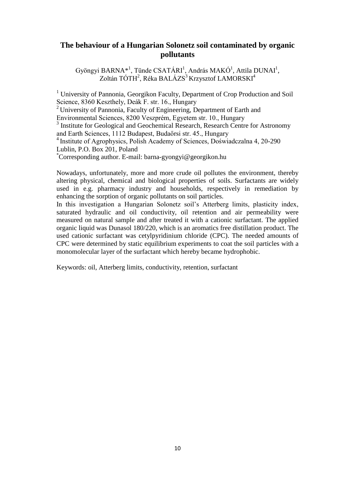## **The behaviour of a Hungarian Solonetz soil contaminated by organic pollutants**

Gyöngyi BARNA<sup>\*1</sup>, Tünde CSATÁRI<sup>1</sup>, András MAKÓ<sup>1</sup>, Attila DUNAI<sup>1</sup>, Zoltán TÓTH<sup>2</sup>, Réka BALÁZS<sup>3</sup> Krzysztof LAMORSKI<sup>4</sup>

<sup>1</sup> University of Pannonia, Georgikon Faculty, Department of Crop Production and Soil Science, 8360 Keszthely, Deák F. str. 16., Hungary <sup>2</sup> University of Pannonia, Faculty of Engineering, Department of Earth and Environmental Sciences, 8200 Veszprém, Egyetem str. 10., Hungary <sup>3</sup> Institute for Geological and Geochemical Research, Research Centre for Astronomy and Earth Sciences, 1112 Budapest, Budaőrsi str. 45., Hungary <sup>4</sup> Institute of Agrophysics, Polish Academy of Sciences, Doświadczalna 4, 20-290

Lublin, P.O. Box 201, Poland

\*Corresponding author. E-mail: barna-gyongyi@georgikon.hu

Nowadays, unfortunately, more and more crude oil pollutes the environment, thereby altering physical, chemical and biological properties of soils. Surfactants are widely used in e.g. pharmacy industry and households, respectively in remediation by enhancing the sorption of organic pollutants on soil particles.

In this investigation a Hungarian Solonetz soil's Atterberg limits, plasticity index, saturated hydraulic and oil conductivity, oil retention and air permeability were measured on natural sample and after treated it with a cationic surfactant. The applied organic liquid was Dunasol 180/220, which is an aromatics free distillation product. The used cationic surfactant was cetylpyridinium chloride (CPC). The needed amounts of CPC were determined by static equilibrium experiments to coat the soil particles with a monomolecular layer of the surfactant which hereby became hydrophobic.

Keywords: oil, Atterberg limits, conductivity, retention, surfactant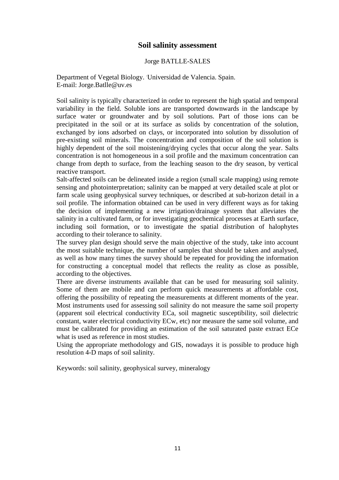#### **Soil salinity assessment**

#### Jorge BATLLE-SALES

Department of Vegetal Biology. Universidad de Valencia. Spain. E-mail: Jorge.Batlle@uv.es

Soil salinity is typically characterized in order to represent the high spatial and temporal variability in the field. Soluble ions are transported downwards in the landscape by surface water or groundwater and by soil solutions. Part of those ions can be precipitated in the soil or at its surface as solids by concentration of the solution, exchanged by ions adsorbed on clays, or incorporated into solution by dissolution of pre-existing soil minerals. The concentration and composition of the soil solution is highly dependent of the soil moistening/drying cycles that occur along the year. Salts concentration is not homogeneous in a soil profile and the maximum concentration can change from depth to surface, from the leaching season to the dry season, by vertical reactive transport.

Salt-affected soils can be delineated inside a region (small scale mapping) using remote sensing and photointerpretation; salinity can be mapped at very detailed scale at plot or farm scale using geophysical survey techniques, or described at sub-horizon detail in a soil profile. The information obtained can be used in very different ways as for taking the decision of implementing a new irrigation/drainage system that alleviates the salinity in a cultivated farm, or for investigating geochemical processes at Earth surface, including soil formation, or to investigate the spatial distribution of halophytes according to their tolerance to salinity.

The survey plan design should serve the main objective of the study, take into account the most suitable technique, the number of samples that should be taken and analysed, as well as how many times the survey should be repeated for providing the information for constructing a conceptual model that reflects the reality as close as possible, according to the objectives.

There are diverse instruments available that can be used for measuring soil salinity. Some of them are mobile and can perform quick measurements at affordable cost, offering the possibility of repeating the measurements at different moments of the year. Most instruments used for assessing soil salinity do not measure the same soil property (apparent soil electrical conductivity ECa, soil magnetic susceptibility, soil dielectric constant, water electrical conductivity ECw, etc) nor measure the same soil volume, and must be calibrated for providing an estimation of the soil saturated paste extract ECe what is used as reference in most studies.

Using the appropriate methodology and GIS, nowadays it is possible to produce high resolution 4-D maps of soil salinity.

Keywords: soil salinity, geophysical survey, mineralogy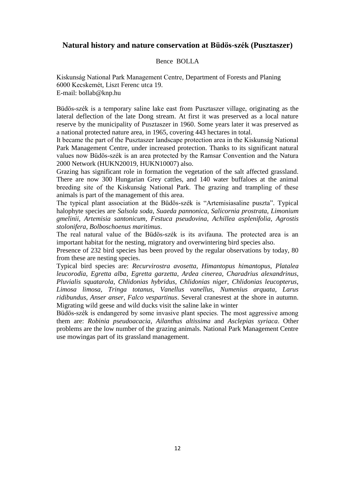#### **Natural history and nature conservation at Büdös-szék (Pusztaszer)**

#### Bence BOLLA

Kiskunság National Park Management Centre, Department of Forests and Planing 6000 Kecskemét, Liszt Ferenc utca 19. E-mail: bollab@knp.hu

Büdös-szék is a temporary saline lake east from Pusztaszer village, originating as the lateral deflection of the late Dong stream. At first it was preserved as a local nature reserve by the municipality of Pusztaszer in 1960. Some years later it was preserved as a national protected nature area, in 1965, covering 443 hectares in total.

It became the part of the Pusztaszer landscape protection area in the Kiskunság National Park Management Centre, under increased protection. Thanks to its significant natural values now Büdös-szék is an area protected by the Ramsar Convention and the Natura 2000 Network (HUKN20019, HUKN10007) also.

Grazing has significant role in formation the vegetation of the salt affected grassland. There are now 300 Hungarian Grey cattles, and 140 water buffaloes at the animal breeding site of the Kiskunság National Park. The grazing and trampling of these animals is part of the management of this area.

The typical plant association at the Büdös-szék is "Artemisiasaline puszta". Typical halophyte species are *Salsola soda*, *Suaeda pannonica*, *Salicornia prostrata*, *Limonium gmelinii*, *Artemisia santonicum*, *Festuca pseudovina*, *Achillea asplenifolia*, *Agrostis stolonifera*, *Bolboschoenus maritimus*.

The real natural value of the Büdös-szék is its avifauna. The protected area is an important habitat for the nesting, migratory and overwintering bird species also.

Presence of 232 bird species has been proved by the regular observations by today, 80 from these are nesting species.

Typical bird species are: *Recurvirostra avosetta*, *Himantopus himantopus*, *Platalea leucorodia*, *Egretta alba*, *Egretta garzetta*, *Ardea cinerea, Charadrius alexandrinus*, *Pluvialis squatarola*, *Chlidonias hybridus*, *Chlidonias niger*, *Chlidonias leucopterus*, *Limosa limosa*, *Tringa totanus*, *Vanellus vanellus*, *Numenius arquata*, *Larus ridibundus*, *Anser anser*, *Falco vespartinus*. Several cranesrest at the shore in autumn. Migrating wild geese and wild ducks visit the saline lake in winter

Büdös-szék is endangered by some invasive plant species. The most aggressive among them are: *Robinia pseudoacacia*, *Ailanthus altissima* and *Asclepias syriaca*. Other problems are the low number of the grazing animals. National Park Management Centre use mowingas part of its grassland management.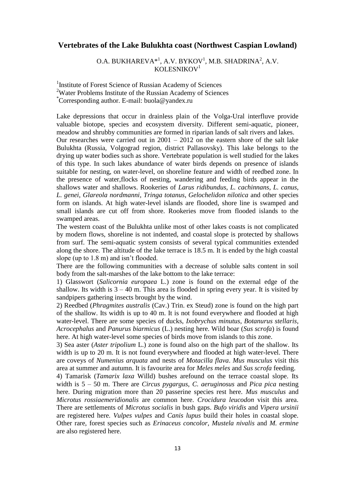#### **Vertebrates of the Lake Bulukhta coast (Northwest Caspian Lowland)**

O.A. BUKHAREVA $*$ <sup>1</sup>, A.V. BYKOV<sup>1</sup>, M.B. SHADRINA<sup>2</sup>, A.V. KOLESNIKOV $1$ 

<sup>1</sup>Institute of Forest Science of Russian Academy of Sciences <sup>2</sup>Water Problems Institute of the Russian Academy of Sciences \*Corresponding author. E-mail: buola@yandex.ru

Lake depressions that occur in drainless plain of the Volga-Ural interfluve provide valuable biotope, species and ecosystem diversity. Different semi-aquatic, pioneer, meadow and shrubby communities are formed in riparian lands of salt rivers and lakes.

Our researches were carried out in 2001 – 2012 on the eastern shore of the salt lake Bulukhta (Russia, Volgograd region, district Pallasovsky). This lake belongs to the drying up water bodies such as shore. Vertebrate population is well studied for the lakes of this type. In such lakes abundance of water birds depends on presence of islands suitable for nesting, on water-level, on shoreline feature and width of reedbed zone. In the presence of water,flocks of nesting, wandering and feeding birds appear in the shallows water and shallows. Rookeries of *Larus ridibundus*, *L. cachinnans*, *L. canus*, *L. genei*, *Glareola nordmanni*, *Tringa totanus*, *Gelochelidon nilotica* and other species form on islands. At high water-level islands are flooded, shore line is swamped and small islands are cut off from shore. Rookeries move from flooded islands to the swamped areas.

The western coast of the Bulukhta unlike most of other lakes coasts is not complicated by modern flows, shoreline is not indented, and coastal slope is protected by shallows from surf. The semi-aquatic system consists of several typical communities extended along the shore. The altitude of the lake terrace is 18.5 m. It is ended by the high coastal slope (up to 1.8 m) and isn't flooded.

There are the following communities with a decrease of soluble salts content in soil body from the salt-marshes of the lake bottom to the lake terrace:

1) Glasswort (*Salicornia europaea* L.) zone is found on the external edge of the shallow. Its width is  $3 - 40$  m. This area is flooded in spring every year. It is visited by sandpipers gathering insects brought by the wind.

2) Reedbed (*Phragmites australis* (Cav.) Trin. ex Steud) zone is found on the high part of the shallow. Its width is up to 40 m. It is not found everywhere and flooded at high water-level. There are some species of ducks, *Ixobrychus minutus*, *Botanurus stellaris*, *Acrocephalus* and *Panurus biarmicus* (L.) nesting here. Wild boar (*Sus scrofa*) is found here. At high water-level some species of birds move from islands to this zone.

3) Sea aster (*Aster tripolium* L.) zone is found also on the high part of the shallow. Its width is up to 20 m. It is not found everywhere and flooded at high water-level. There are coveys of *Numenius arquata* and nests of *Motacilla flava*. *Mus musculus* visit this area at summer and autumn. It is favourite area for *Meles meles* and *Sus scrofa* feeding.

4) Tamarisk (*Tamarix laxa* Willd) bushes arefound on the terrace coastal slope. Its width is 5 – 50 m. There are *Circus pygargus*, *C. aeruginosus* and *Pica pica* nesting here. During migration more than 20 passerine species rest here. *Mus musculus* and *Microtus rossiaemeridionalis* are common here. *Crocidura leucodon* visit this area. There are settlements of *Microtus socialis* in bush gaps. *Bufo viridis* and *Vipera ursinii* are registered here. *Vulpes vulpes* and *Canis lupus* build their holes in coastal slope. Other rare, forest species such as *Erinaceus concolor*, *Mustela nivalis* and *M. ermine* are also registered here.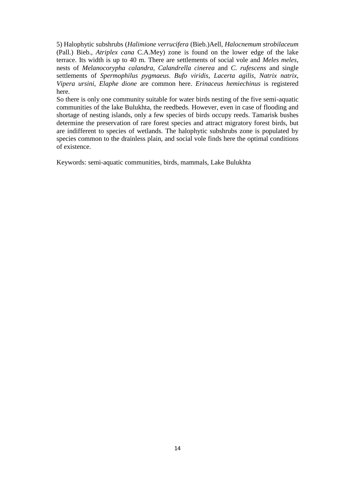5) Halophytic subshrubs (*Halimione verrucifera* (Bieb.)Aell, *Halocnemum strobilaceum* (Pall.) Bieb., *Atriplex cana* C.A.Mey) zone is found on the lower edge of the lake terrace. Its width is up to 40 m. There are settlements of social vole and *Meles meles*, nests of *Melanocorypha calandra*, *Calandrella cinerea* and *C. rufescens* and single settlements of *Spermophilus pygmaeus*. *Bufo viridis*, *Lacerta agilis*, *Natrix natrix*, *Vipera ursini, Elaphe dione* are common here. *Erinaceus hemiechinus* is registered here.

So there is only one community suitable for water birds nesting of the five semi-aquatic communities of the lake Bulukhta, the reedbeds. However, even in case of flooding and shortage of nesting islands, only a few species of birds occupy reeds. Tamarisk bushes determine the preservation of rare forest species and attract migratory forest birds, but are indifferent to species of wetlands. The halophytic subshrubs zone is populated by species common to the drainless plain, and social vole finds here the optimal conditions of existence.

Keywords: semi-aquatic communities, birds, mammals, Lake Bulukhta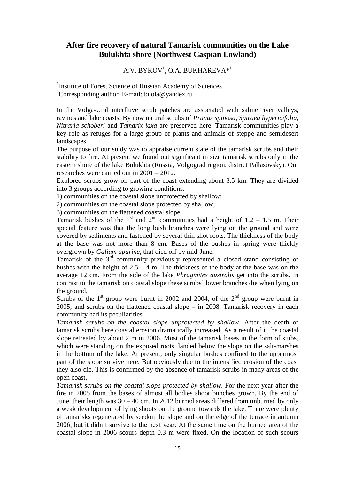#### **After fire recovery of natural Tamarisk communities on the Lake Bulukhta shore (Northwest Caspian Lowland)**

#### $\mathrm{A.V.}\ \mathrm{BYKOV}^1\mathrm{,O.A.}\ \mathrm{BUKHAREVA*}^1$

<sup>1</sup>Institute of Forest Science of Russian Academy of Sciences \*Corresponding author. E-mail: buola@yandex.ru

In the Volga-Ural interfluve scrub patches are associated with saline river valleys, ravines and lake coasts. By now natural scrubs of *Prunus spinosa*, *Spiraea hypericifolia*, *Nitraria schoberi* and *Tamarix laxa* are preserved here. Tamarisk communities play a key role as refuges for a large group of plants and animals of steppe and semidesert landscapes.

The purpose of our study was to appraise current state of the tamarisk scrubs and their stability to fire. At present we found out significant in size tamarisk scrubs only in the eastern shore of the lake Bulukhta (Russia, Volgograd region, district Pallasovsky). Our researches were carried out in 2001 – 2012.

Explored scrubs grow on part of the coast extending about 3.5 km. They are divided into 3 groups according to growing conditions:

1) communities on the coastal slope unprotected by shallow;

2) communities on the coastal slope protected by shallow;

3) communities on the flattened coastal slope.

Tamarisk bushes of the 1<sup>st</sup> and 2<sup>nd</sup> communities had a height of 1.2 – 1.5 m. Their special feature was that the long bush branches were lying on the ground and were covered by sediments and fastened by several thin shot roots. The thickness of the body at the base was not more than 8 cm. Bases of the bushes in spring were thickly overgrown by *Galium aparine*, that died off by mid-June.

Tamarisk of the 3rd community previously represented a closed stand consisting of bushes with the height of  $2.5 - 4$  m. The thickness of the body at the base was on the average 12 cm. From the side of the lake *Phragmites australis* get into the scrubs. In contrast to the tamarisk on coastal slope these scrubs' lower branches die when lying on the ground.

Scrubs of the  $1<sup>st</sup>$  group were burnt in 2002 and 2004, of the  $2<sup>nd</sup>$  group were burnt in 2005, and scrubs on the flattened coastal slope – in 2008. Tamarisk recovery in each community had its peculiarities.

*Tamarisk scrubs on the coastal slope unprotected by shallow*. After the death of tamarisk scrubs here coastal erosion dramatically increased. As a result of it the coastal slope retreated by about 2 m in 2006. Most of the tamarisk bases in the form of stubs, which were standing on the exposed roots, landed below the slope on the salt-marshes in the bottom of the lake. At present, only singular bushes confined to the uppermost part of the slope survive here. But obviously due to the intensified erosion of the coast they also die. This is confirmed by the absence of tamarisk scrubs in many areas of the open coast.

*Tamarisk scrubs on the coastal slope protected by shallow*. For the next year after the fire in 2005 from the bases of almost all bodies shoot bunches grown. By the end of June, their length was 30 – 40 cm. In 2012 burned areas differed from unburned by only a weak development of lying shoots on the ground towards the lake. There were plenty of tamarisks regenerated by seedon the slope and on the edge of the terrace in autumn 2006, but it didn't survive to the next year. At the same time on the burned area of the coastal slope in 2006 scours depth 0.3 m were fixed. On the location of such scours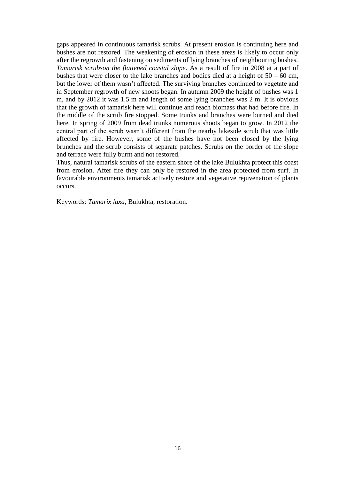gaps appeared in continuous tamarisk scrubs. At present erosion is continuing here and bushes are not restored. The weakening of erosion in these areas is likely to occur only after the regrowth and fastening on sediments of lying branches of neighbouring bushes. *Tamarisk scrubson the flattened coastal slope*. As a result of fire in 2008 at a part of bushes that were closer to the lake branches and bodies died at a height of  $50 - 60$  cm, but the lower of them wasn't affected. The surviving branches continued to vegetate and in September regrowth of new shoots began. In autumn 2009 the height of bushes was 1 m, and by 2012 it was 1.5 m and length of some lying branches was 2 m. It is obvious that the growth of tamarisk here will continue and reach biomass that had before fire. In the middle of the scrub fire stopped. Some trunks and branches were burned and died here. In spring of 2009 from dead trunks numerous shoots began to grow. In 2012 the central part of the scrub wasn't different from the nearby lakeside scrub that was little affected by fire. However, some of the bushes have not been closed by the lying brunches and the scrub consists of separate patches. Scrubs on the border of the slope and terrace were fully burnt and not restored.

Thus, natural tamarisk scrubs of the eastern shore of the lake Bulukhta protect this coast from erosion. After fire they can only be restored in the area protected from surf. In favourable environments tamarisk actively restore and vegetative rejuvenation of plants occurs.

Keywords: *Tamarix laxa*, Bulukhta, restoration.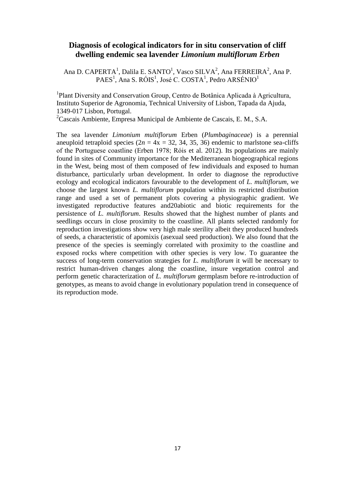#### **Diagnosis of ecological indicators for in situ conservation of cliff dwelling endemic sea lavender** *Limonium multiflorum Erben*

Ana D. CAPERTA<sup>1</sup>, Dalila E. SANTO<sup>1</sup>, Vasco SILVA<sup>2</sup>, Ana FERREIRA<sup>2</sup>, Ana P.  $PAES<sup>1</sup>$ , Ana S. RÓIS<sup>1</sup>, José C. COSTA<sup>1</sup>, Pedro ARSÉNIO<sup>1</sup>

<sup>1</sup>Plant Diversity and Conservation Group, Centro de Botânica Aplicada à Agricultura, Instituto Superior de Agronomia, Technical University of Lisbon, Tapada da Ajuda, 1349-017 Lisbon, Portugal.

<sup>2</sup>Cascais Ambiente, Empresa Municipal de Ambiente de Cascais, E. M., S.A.

The sea lavender *Limonium multiflorum* Erben (*Plumbaginaceae*) is a perennial aneuploid tetraploid species  $(2n = 4x = 32, 34, 35, 36)$  endemic to marlstone sea-cliffs of the Portuguese coastline (Erben 1978; Róis et al. 2012). Its populations are mainly found in sites of Community importance for the Mediterranean biogeographical regions in the West, being most of them composed of few individuals and exposed to human disturbance, particularly urban development. In order to diagnose the reproductive ecology and ecological indicators favourable to the development of *L. multiflorum*, we choose the largest known *L. multiflorum* population within its restricted distribution range and used a set of permanent plots covering a physiographic gradient. We investigated reproductive features and20abiotic and biotic requirements for the persistence of *L. multiflorum*. Results showed that the highest number of plants and seedlings occurs in close proximity to the coastline. All plants selected randomly for reproduction investigations show very high male sterility albeit they produced hundreds of seeds, a characteristic of apomixis (asexual seed production). We also found that the presence of the species is seemingly correlated with proximity to the coastline and exposed rocks where competition with other species is very low. To guarantee the success of long-term conservation strategies for *L. multiflorum* it will be necessary to restrict human-driven changes along the coastline, insure vegetation control and perform genetic characterization of *L. multiflorum* germplasm before re-introduction of genotypes, as means to avoid change in evolutionary population trend in consequence of its reproduction mode.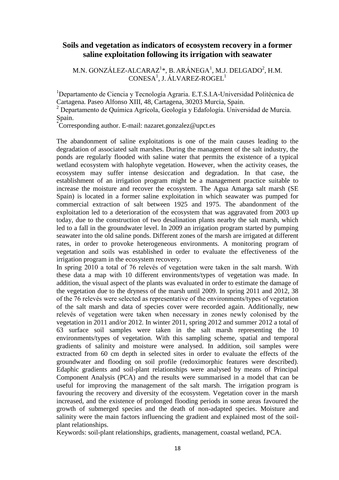#### **Soils and vegetation as indicators of ecosystem recovery in a former saline exploitation following its irrigation with seawater**

M.N. GONZÁLEZ-ALCARAZ $^{1*}$ , B. ARÁNEGA $^{1}$ , M.J. DELGADO $^{2}$ , H.M. CONESA<sup>1</sup>, J. ÁLVAREZ-ROGEL<sup>1</sup>

<sup>1</sup>Departamento de Ciencia y Tecnología Agraria. E.T.S.I.A-Universidad Politécnica de Cartagena. Paseo Alfonso XIII, 48, Cartagena, 30203 Murcia, Spain.

<sup>2</sup> Departamento de Química Agrícola, Geología y Edafología. Universidad de Murcia. Spain.

\*Corresponding author. E-mail: [nazaret.gonzalez@upct.es](mailto:nazaret.gonzalez@upct.es)

The abandonment of saline exploitations is one of the main causes leading to the degradation of associated salt marshes. During the management of the salt industry, the ponds are regularly flooded with saline water that permits the existence of a typical wetland ecosystem with halophyte vegetation. However, when the activity ceases, the ecosystem may suffer intense desiccation and degradation. In that case, the establishment of an irrigation program might be a management practice suitable to increase the moisture and recover the ecosystem. The Agua Amarga salt marsh (SE Spain) is located in a former saline exploitation in which seawater was pumped for commercial extraction of salt between 1925 and 1975. The abandonment of the exploitation led to a deterioration of the ecosystem that was aggravated from 2003 up today, due to the construction of two desalination plants nearby the salt marsh, which led to a fall in the groundwater level. In 2009 an irrigation program started by pumping seawater into the old saline ponds. Different zones of the marsh are irrigated at different rates, in order to provoke heterogeneous environments. A monitoring program of vegetation and soils was established in order to evaluate the effectiveness of the irrigation program in the ecosystem recovery.

In spring 2010 a total of 76 relevés of vegetation were taken in the salt marsh. With these data a map with 10 different environments/types of vegetation was made. In addition, the visual aspect of the plants was evaluated in order to estimate the damage of the vegetation due to the dryness of the marsh until 2009. In spring 2011 and 2012, 38 of the 76 relevés were selected as representative of the environments/types of vegetation of the salt marsh and data of species cover were recorded again. Additionally, new relevés of vegetation were taken when necessary in zones newly colonised by the vegetation in 2011 and/or 2012. In winter 2011, spring 2012 and summer 2012 a total of 63 surface soil samples were taken in the salt marsh representing the 10 environments/types of vegetation. With this sampling scheme, spatial and temporal gradients of salinity and moisture were analysed. In addition, soil samples were extracted from 60 cm depth in selected sites in order to evaluate the effects of the groundwater and flooding on soil profile (redoximorphic features were described). Edaphic gradients and soil-plant relationships were analysed by means of Principal Component Analysis (PCA) and the results were summarised in a model that can be useful for improving the management of the salt marsh. The irrigation program is favouring the recovery and diversity of the ecosystem. Vegetation cover in the marsh increased, and the existence of prolonged flooding periods in some areas favoured the growth of submerged species and the death of non-adapted species. Moisture and salinity were the main factors influencing the gradient and explained most of the soilplant relationships.

Keywords: soil-plant relationships, gradients, management, coastal wetland, PCA.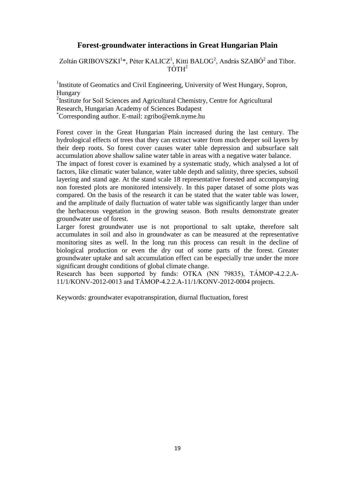#### **Forest-groundwater interactions in Great Hungarian Plain**

Zoltán GRIBOVSZKI<sup>1</sup>\*, Péter KALICZ<sup>1</sup>, Kitti BALOG<sup>2</sup>, András SZABÓ<sup>2</sup> and Tibor.  $T\acute{\Omega}TH^2$ 

<sup>1</sup>Institute of Geomatics and Civil Engineering, University of West Hungary, Sopron, Hungary

<sup>2</sup>Institute for Soil Sciences and Agricultural Chemistry, Centre for Agricultural Research, Hungarian Academy of Sciences Budapest

\*Corresponding author. E-mail: zgribo@emk.nyme.hu

Forest cover in the Great Hungarian Plain increased during the last century. The hydrological effects of trees that they can extract water from much deeper soil layers by their deep roots. So forest cover causes water table depression and subsurface salt accumulation above shallow saline water table in areas with a negative water balance.

The impact of forest cover is examined by a systematic study, which analysed a lot of factors, like climatic water balance, water table depth and salinity, three species, subsoil layering and stand age. At the stand scale 18 representative forested and accompanying non forested plots are monitored intensively. In this paper dataset of some plots was compared. On the basis of the research it can be stated that the water table was lower, and the amplitude of daily fluctuation of water table was significantly larger than under the herbaceous vegetation in the growing season. Both results demonstrate greater groundwater use of forest.

Larger forest groundwater use is not proportional to salt uptake, therefore salt accumulates in soil and also in groundwater as can be measured at the representative monitoring sites as well. In the long run this process can result in the decline of biological production or even the dry out of some parts of the forest. Greater groundwater uptake and salt accumulation effect can be especially true under the more significant drought conditions of global climate change.

Research has been supported by funds: OTKA (NN 79835), TÁMOP-4.2.2.A-11/1/KONV-2012-0013 and TÁMOP-4.2.2.A-11/1/KONV-2012-0004 projects.

Keywords: groundwater evapotranspiration, diurnal fluctuation, forest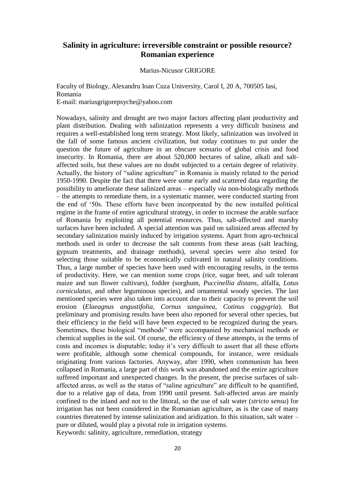#### **Salinity in agriculture: irreversible constraint or possible resource? Romanian experience**

Marius-Nicusor GRIGORE

Faculty of Biology, Alexandru Ioan Cuza University, Carol I, 20 A, 700505 Iasi, Romania E-mail: [mariusgrigorepsyche@yahoo.com](mailto:mariusgrigorepsyche@yahoo.com)

Nowadays, salinity and drought are two major factors affecting plant productivity and plant distribution. Dealing with salinization represents a very difficult business and requires a well-established long term strategy. Most likely, salinization was involved in the fall of some famous ancient civilization, but today continues to put under the question the future of agriculture in an obscure scenario of global crisis and food insecurity. In Romania, there are about 520,000 hectares of saline, alkali and saltaffected soils, but these values are no doubt subjected to a certain degree of relativity. Actually, the history of "saline agriculture" in Romania is mainly related to the period 1950-1990. Despite the fact that there were some early and scattered data regarding the possibility to ameliorate these salinized areas – especially *via* non-biologically methods – the attempts to remediate them, in a systematic manner, were conducted starting from the end of '50s. These efforts have been incorporated by the new installed political regime in the frame of entire agricultural strategy, in order to increase the arable surface of Romania by exploiting all potential resources. Thus, salt-affected and marshy surfaces have been included. A special attention was paid on salinized areas affected by secondary salinization mainly induced by irrigation systems. Apart from agro-technical methods used in order to decrease the salt contents from these areas (salt leaching, gypsum treatments, and drainage methods), several species were also tested for selecting those suitable to be economically cultivated in natural salinity conditions. Thus, a large number of species have been used with encouraging results, in the terms of productivity. Here, we can mention some crops (rice, sugar beet, and salt tolerant maize and sun flower cultivars), fodder (sorghum, *Puccinellia distans*, alfalfa, *Lotus corniculatus,* and other leguminous species), and ornamental woody species. The last mentioned species were also taken into account due to their capacity to prevent the soil erosion (*Elaeagnus angustifolia, Cornus sanguinea, Cotinus coggygria*). But preliminary and promising results have been also reported for several other species, but their efficiency in the field will have been expected to be recognized during the years. Sometimes, these biological "methods" were accompanied by mechanical methods or chemical supplies in the soil. Of course, the efficiency of these attempts, in the terms of costs and incomes is disputable; today it's very difficult to assert that all these efforts were profitable, although some chemical compounds, for instance, were residuals originating from various factories. Anyway, after 1990, when communism has been collapsed in Romania, a large part of this work was abandoned and the entire agriculture suffered important and unexpected changes. In the present, the precise surfaces of saltaffected areas, as well as the status of "saline agriculture" are difficult to be quantified, due to a relative gap of data, from 1990 until present. Salt-affected areas are mainly confined to the inland and not to the littoral, so the use of salt water (*stricto sensu*) for irrigation has not been considered in the Romanian agriculture, as is the case of many countries threatened by intense salinization and aridization. In this situation, salt water – pure or diluted, would play a pivotal role in irrigation systems. Keywords: salinity, agriculture, remediation, strategy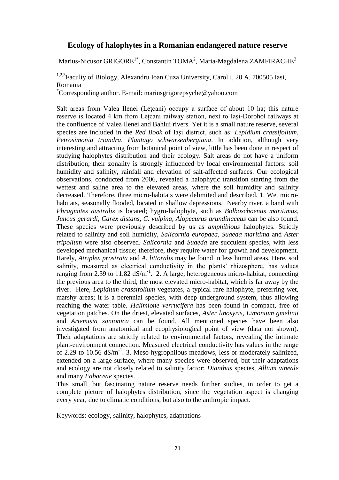#### **Ecology of halophytes in a Romanian endangered nature reserve**

Marius-Nicusor GRIGORE $^{1^\ast}$ , Constantin TOMA $^2$ , Maria-Magdalena ZAMFIRACHE $^3$ 

<sup>1,2,3</sup>Faculty of Biology, Alexandru Ioan Cuza University, Carol I, 20 A, 700505 Iasi, Romania

\*Corresponding author. E-mail: [mariusgrigorepsyche@yahoo.com](mailto:mariusgrigorepsyche@yahoo.com)

Salt areas from Valea Ilenei (Leţcani) occupy a surface of about 10 ha; this nature reserve is located 4 km from Leţcani railway station, next to Iaşi-Dorohoi railways at the confluence of Valea Ilenei and Bahlui rivers. Yet it is a small nature reserve, several species are included in the *Red Book* of Iaşi district, such as: *Lepidium crassifolium, Petrosimonia triandra, Plantago schwarzenbergiana*. In addition, although very interesting and attracting from botanical point of view, little has been done in respect of studying halophytes distribution and their ecology. Salt areas do not have a uniform distribution; their zonality is strongly influenced by local environmental factors: soil humidity and salinity, rainfall and elevation of salt-affected surfaces. Our ecological observations, conducted from 2006, revealed a halophytic transition starting from the wettest and saline area to the elevated areas, where the soil humidity and salinity decreased. Therefore, three micro-habitats were delimited and described. 1. Wet microhabitats, seasonally flooded, located in shallow depressions. Nearby river, a band with *Phragmites australis* is located; hygro-halophyte, such as *Bolboschoenus maritimus, Juncus gerardi, Carex distans, C. vulpina, Alopecurus arundinaceus* can be also found. These species were previously described by us as *amphibious* halophytes. Strictly related to salinity and soil humidity, *Salicornia europaea, Suaeda maritima* and *Aster tripolium* were also observed. *Salicornia* and *Suaeda* are succulent species, with less developed mechanical tissue; therefore, they require water for growth and development. Rarely, *Atriplex prostrata* and *A. littoralis* may be found in less humid areas. Here, soil salinity, measured as electrical conductivity in the plants' rhizosphere, has values ranging from 2.39 to 11.82  $dS/m^{-1}$ . 2. A large, heterogeneous micro-habitat, connecting the previous area to the third, the most elevated micro-habitat, which is far away by the river. Here, *Lepidium crassifolium* vegetates, a typical rare halophyte, preferring wet, marshy areas; it is a perennial species, with deep underground system, thus allowing reaching the water table. *Halimione verrucifera* has been found in compact, free of vegetation patches. On the driest, elevated surfaces, *Aster linosyris, Limonium gmelinii*  and *Artemisia santonica* can be found. All mentioned species have been also investigated from anatomical and ecophysiological point of view (data not shown). Their adaptations are strictly related to environmental factors, revealing the intimate plant-environment connection. Measured electrical conductivity has values in the range of 2.29 to 10.56  $dS/m^{-1}$ . 3. Meso-hygrophilous meadows, less or moderately salinized, extended on a large surface, where many species were observed, but their adaptations and ecology are not closely related to salinity factor: *Dianthus* species, *Allium vineale* and many *Fabaceae* species.

This small, but fascinating nature reserve needs further studies, in order to get a complete picture of halophytes distribution, since the vegetation aspect is changing every year, due to climatic conditions, but also to the anthropic impact.

Keywords: ecology, salinity, halophytes, adaptations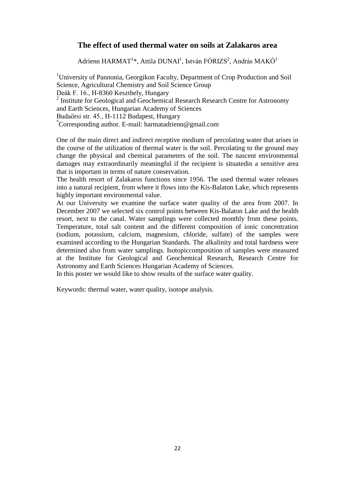## **The effect of used thermal water on soils at Zalakaros area**

Adrienn HARMAT<sup>1</sup>\*, Attila DUNAI<sup>1</sup>, István FÓRIZS<sup>2</sup>, András MAKÓ<sup>1</sup>

<sup>1</sup>University of Pannonia, Georgikon Faculty, Department of Crop Production and Soil Science, Agricultural Chemistry and Soil Science Group Deák F. 16., H-8360 Keszthely, Hungary <sup>2</sup> Institute for Geological and Geochemical Research Research Centre for Astronomy and Earth Sciences, Hungarian Academy of Sciences Budaörsi str. 45., H-1112 Budapest, Hungary \*Corresponding author. E-mail: harmatadrienn@gmail.com

One of the main direct and indirect receptive medium of percolating water that arises in the course of the utilization of thermal water is the soil. Percolating to the ground may change the physical and chemical parameters of the soil. The nascent environmental damages may extraordinarily meaningful if the recipient is situatedin a sensitive area that is important in terms of nature conservation.

The health resort of Zalakaros functions since 1956. The used thermal water releases into a natural recipient, from where it flows into the Kis-Balaton Lake, which represents highly important environmental value.

At our University we examine the surface water quality of the area from 2007. In December 2007 we selected six control points between Kis-Balaton Lake and the health resort, next to the canal. Water samplings were collected monthly from these points. Temperature, total salt content and the different composition of ionic concentration (sodium, potassium, calcium, magnesium, chloride, sulfate) of the samples were examined according to the Hungarian Standards. The alkalinity and total hardness were determined also from water samplings. Isotopiccomposition of samples were measured at the Institute for Geological and Geochemical Research, Research Centre for Astronomy and Earth Sciences Hungarian Academy of Sciences.

In this poster we would like to show results of the surface water quality.

Keywords: thermal water, water quality, isotope analysis.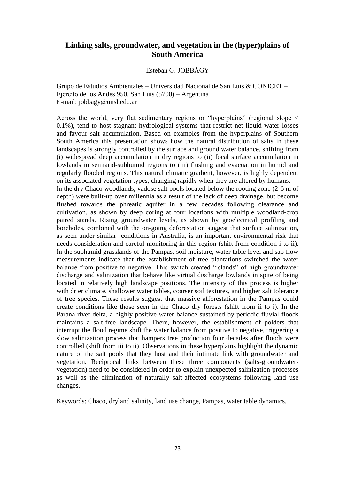#### **Linking salts, groundwater, and vegetation in the (hyper)plains of South America**

Esteban G. JOBBÁGY

Grupo de Estudios Ambientales – Universidad Nacional de San Luis & CONICET – Ejército de los Andes 950, San Luis (5700) – Argentina E-mail: jobbagy@unsl.edu.ar

Across the world, very flat sedimentary regions or "hyperplains" (regional slope < 0.1%), tend to host stagnant hydrological systems that restrict net liquid water losses and favour salt accumulation. Based on examples from the hyperplains of Southern South America this presentation shows how the natural distribution of salts in these landscapes is strongly controlled by the surface and ground water balance, shifting from (i) widespread deep accumulation in dry regions to (ii) focal surface accumulation in lowlands in semiarid-subhumid regions to (iii) flushing and evacuation in humid and regularly flooded regions. This natural climatic gradient, however, is highly dependent on its associated vegetation types, changing rapidly when they are altered by humans. In the dry Chaco woodlands, vadose salt pools located below the rooting zone (2-6 m of depth) were built-up over millennia as a result of the lack of deep drainage, but become flushed towards the phreatic aquifer in a few decades following clearance and cultivation, as shown by deep coring at four locations with multiple woodland-crop paired stands. Rising groundwater levels, as shown by geoelectrical profiling and boreholes, combined with the on-going deforestation suggest that surface salinization, as seen under similar conditions in Australia, is an important environmental risk that needs consideration and careful monitoring in this region (shift from condition i to ii). In the subhumid grasslands of the Pampas, soil moisture, water table level and sap flow measurements indicate that the establishment of tree plantations switched the water balance from positive to negative. This switch created "islands" of high groundwater discharge and salinization that behave like virtual discharge lowlands in spite of being located in relatively high landscape positions. The intensity of this process is higher with drier climate, shallower water tables, coarser soil textures, and higher salt tolerance of tree species. These results suggest that massive afforestation in the Pampas could create conditions like those seen in the Chaco dry forests (shift from ii to i). In the Parana river delta, a highly positive water balance sustained by periodic fluvial floods maintains a salt-free landscape. There, however, the establishment of polders that interrupt the flood regime shift the water balance from positive to negative, triggering a slow salinization process that hampers tree production four decades after floods were controlled (shift from iii to ii). Observations in these hyperplains highlight the dynamic nature of the salt pools that they host and their intimate link with groundwater and vegetation. Reciprocal links between these three components (salts-groundwatervegetation) need to be considered in order to explain unexpected salinization processes as well as the elimination of naturally salt-affected ecosystems following land use changes.

Keywords: Chaco, dryland salinity, land use change, Pampas, water table dynamics.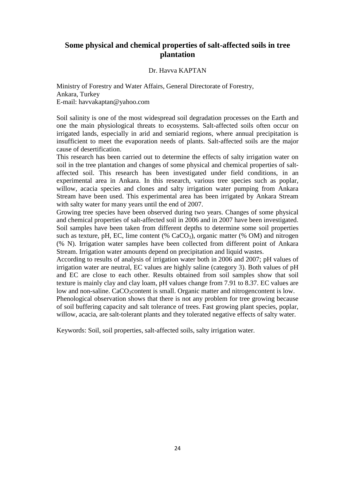#### **Some physical and chemical properties of salt-affected soils in tree plantation**

#### Dr. Havva KAPTAN

Ministry of Forestry and Water Affairs, General Directorate of Forestry, Ankara, Turkey E-mail: [havvakaptan@yahoo.com](mailto:havvakaptan@yahoo.com)

Soil salinity is one of the most widespread soil degradation processes on the Earth and one the main physiological threats to ecosystems. Salt-affected soils often occur on irrigated lands, especially in arid and semiarid regions, where annual precipitation is insufficient to meet the evaporation needs of plants. Salt-affected soils are the major cause of desertification.

This research has been carried out to determine the effects of salty irrigation water on soil in the tree plantation and changes of some physical and chemical properties of saltaffected soil. This research has been investigated under field conditions, in an experimental area in Ankara. In this research, various tree species such as poplar, willow, acacia species and clones and salty irrigation water pumping from Ankara Stream have been used. This experimental area has been irrigated by Ankara Stream with salty water for many years until the end of 2007.

Growing tree species have been observed during two years. Changes of some physical and chemical properties of salt-affected soil in 2006 and in 2007 have been investigated. Soil samples have been taken from different depths to determine some soil properties such as texture, pH, EC, lime content  $(\%$  CaCO<sub>3</sub>), organic matter  $(\%$  OM) and nitrogen (% N). Irrigation water samples have been collected from different point of Ankara Stream. Irrigation water amounts depend on precipitation and liquid wastes.

According to results of analysis of irrigation water both in 2006 and 2007; pH values of irrigation water are neutral, EC values are highly saline (category 3). Both values of pH and EC are close to each other. Results obtained from soil samples show that soil texture is mainly clay and clay loam, pH values change from 7.91 to 8.37. EC values are low and non-saline. CaCO<sub>3</sub>content is small. Organic matter and nitrogencontent is low.

Phenological observation shows that there is not any problem for tree growing because of soil buffering capacity and salt tolerance of trees. Fast growing plant species, poplar, willow, acacia, are salt-tolerant plants and they tolerated negative effects of salty water.

Keywords: Soil, soil properties, salt-affected soils, salty irrigation water.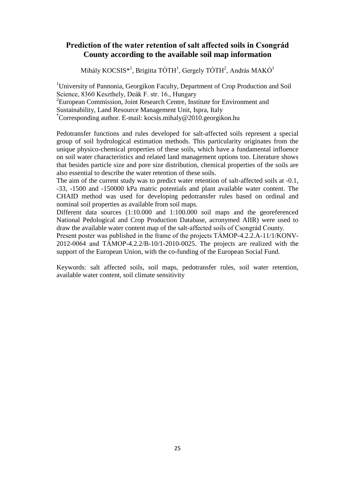## **Prediction of the water retention of salt affected soils in Csongrád County according to the available soil map information**

Mihály KOCSIS<sup>\*1</sup>, Brigitta TÓTH<sup>1</sup>, Gergely TÓTH<sup>2</sup>, András MAKÓ<sup>1</sup>

<sup>1</sup>University of Pannonia, Georgikon Faculty, Department of Crop Production and Soil Science, 8360 Keszthely, Deák F. str. 16., Hungary <sup>2</sup> European Commission, Joint Research Centre, Institute for Environment and Sustainability, Land Resource Management Unit, Ispra, Italy \*Corresponding author. E-mail: kocsis.mihaly@2010.georgikon.hu

Pedotransfer functions and rules developed for salt-affected soils represent a special group of soil hydrological estimation methods. This particularity originates from the unique physico-chemical properties of these soils, which have a fundamental influence on soil water characteristics and related land management options too. Literature shows that besides particle size and pore size distribution, chemical properties of the soils are also essential to describe the water retention of these soils.

The aim of the current study was to predict water retention of salt-affected soils at -0.1, -33, -1500 and -150000 kPa matric potentials and plant available water content. The CHAID method was used for developing pedotransfer rules based on ordinal and nominal soil properties as available from soil maps.

Different data sources (1:10.000 and 1:100.000 soil maps and the georeferenced National Pedological and Crop Production Database, acronymed AIIR) were used to draw the available water content map of the salt-affected soils of Csongrád County.

Present poster was published in the frame of the projects TÁMOP-4.2.2.A-11/1/KONV-2012-0064 and TÁMOP-4.2.2/B-10/1-2010-0025. The projects are realized with the support of the European Union, with the co-funding of the European Social Fund.

Keywords: salt affected soils, soil maps, pedotransfer rules, soil water retention, available water content, soil climate sensitivity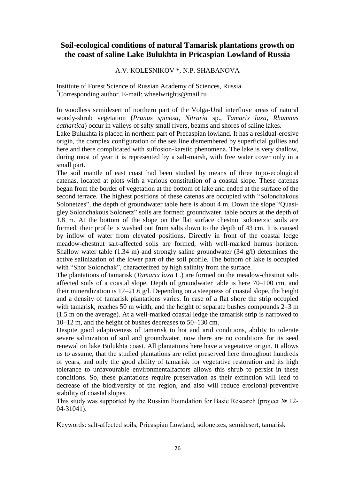## **Soil-ecological conditions of natural Tamarisk plantations growth on the coast of saline Lake Bulukhta in Pricaspian Lowland of Russia**

#### A.V. KOLESNIKOV \*, N.P. SHABANOVA

Institute of Forest Science of Russian Academy of Sciences, Russia \*Corresponding author. E-mail: wheelwrights@mail.ru

In woodless semidesert of northern part of the Volga-Ural interfluve areas of natural woody-shrub vegetation (*Prunus spinosa, Nitraria* sp., *Tamarix laxa, Rhamnus cathartica*) occur in valleys of salty small rivers, beams and shores of saline lakes.

Lake Bulukhta is placed in northern part of Precaspian lowland. It has a residual-erosive origin, the complex configuration of the sea line dismembered by superficial gullies and here and there complicated with suffosion-karstic phenomena. The lake is very shallow, during most of year it is represented by a salt-marsh, with free water cover only in a small part.

The soil mantle of east coast had been studied by means of three topo-ecological catenas, located at plots with a various constitution of a coastal slope. These catenas began from the border of vegetation at the bottom of lake and ended at the surface of the second terrace. The highest positions of these catenas are occupied with "Solonchakous Solonetzes", the depth of groundwater table here is about 4 m. Down the slope "Quasigley Solonchakous Solonetz" soils are formed; groundwater table occurs at the depth of 1.8 m. At the bottom of the slope on the flat surface chestnut solonetzic soils are formed, their profile is washed out from salts down to the depth of 43 cm. It is caused by inflow of water from elevated positions. Directly in front of the coastal ledge meadow-chestnut salt-affected soils are formed, with well-marked humus horizon. Shallow water table (1.34 m) and strongly saline groundwater (34 g/l) determines the active salinization of the lower part of the soil profile. The bottom of lake is occupied with "Shor Solonchak", characterized by high salinity from the surface.

The plantations of tamarisk (*Tamarix laxa* L.) are formed on the meadow-chestnut saltaffected soils of a coastal slope. Depth of groundwater table is here 70–100 cm, and their mineralization is  $17-21.6$  g/l. Depending on a steepness of coastal slope, the height and a density of tamarisk plantations varies. In case of a flat shore the strip occupied with tamarisk, reaches 50 m width, and the height of separate bushes compounds 2–3 m (1.5 m on the average). At a well-marked coastal ledge the tamarisk strip is narrowed to 10–12 m, and the height of bushes decreases to 50–130 cm.

Despite good adaptiveness of tamarisk to hot and arid conditions, ability to tolerate severe salinization of soil and groundwater, now there are no conditions for its seed renewal on lake Bulukhta coast. All plantations here have a vegetative origin. It allows us to assume, that the studied plantations are relict preserved here throughout hundreds of years, and only the good ability of tamarisk for vegetative restoration and its high tolerance to unfavourable environmentalfactors allows this shrub to persist in these conditions. So, these plantations require preservation as their extinction will lead to decrease of the biodiversity of the region, and also will reduce erosional-preventive stability of coastal slopes.

This study was supported by the Russian Foundation for Basic Research (project № 12- 04-31041).

Keywords: salt-affected soils, Pricaspian Lowland, solonetzes, semidesert, tamarisk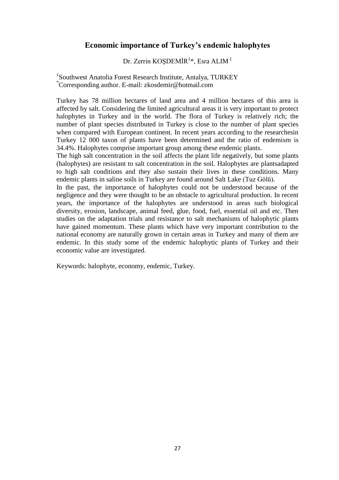## **Economic importance of Turkey's endemic halophytes**

Dr. Zerrin KOŞDEMİR<sup>1</sup>\*, Esra ALIM<sup>1</sup>

<sup>1</sup>Southwest Anatolia Forest Research Institute, Antalya, TURKEY \*Corresponding author. E-mail: zkosdemir@hotmail.com

Turkey has 78 million hectares of land area and 4 million hectares of this area is affected by salt. Considering the limited agricultural areas it is very important to protect halophytes in Turkey and in the world. The flora of Turkey is relatively rich; the number of plant species distributed in Turkey is close to the number of plant species when compared with European continent. In recent years according to the researchesin Turkey 12 000 taxon of plants have been determined and the ratio of endemism is 34.4%. Halophytes comprise important group among these endemic plants.

The high salt concentration in the soil affects the plant life negatively, but some plants (halophytes) are resistant to salt concentration in the soil. Halophytes are plantsadapted to high salt conditions and they also sustain their lives in these conditions. Many endemic plants in saline soils in Turkey are found around Salt Lake (Tuz Gölü).

In the past, the importance of halophytes could not be understood because of the negligence and they were thought to be an obstacle to agricultural production. In recent years, the importance of the halophytes are understood in areas such biological diversity, erosion, landscape, animal feed, glue, food, fuel, essential oil and etc. Then studies on the adaptation trials and resistance to salt mechanisms of halophytic plants have gained momentum. These plants which have very important contribution to the national economy are naturally grown in certain areas in Turkey and many of them are endemic. In this study some of the endemic halophytic plants of Turkey and their economic value are investigated.

Keywords: halophyte, economy, endemic, Turkey.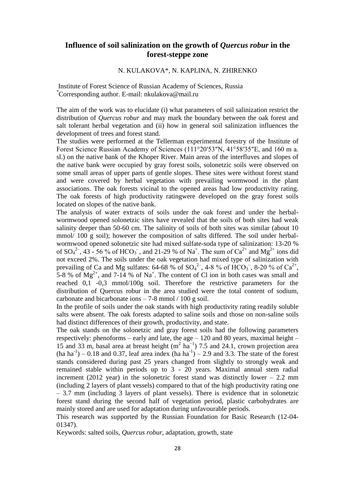#### **Influence of soil salinization on the growth of** *Quercus robur* **in the forest-steppe zone**

#### N. KULAKOVA\*, N. KAPLINA, N. ZHIRENKO

Institute of Forest Science of Russian Academy of Sciences, Russia \*Corresponding author. E-mail: [nkulakova@mail.ru](mailto:nkulakova@mail.ru)

The aim of the work was to elucidate (i) what parameters of soil salinization restrict the distribution of *Quercus robur* and may mark the boundary between the oak forest and salt tolerant herbal vegetation and (ii) how in general soil salinization influences the development of trees and forest stand.

The studies were performed at the Tellerman experimental forestry of the Institute of Forest Science Russian Academy of Sciences (111°20′53″N, 41°58′35″E, and 160 m a. sl.) on the native bank of the Khoper River. Main areas of the interfluves and slopes of the native bank were occupied by gray forest soils, solonetzic soils were observed on some small areas of upper parts of gentle slopes. These sites were without forest stand and were covered by herbal vegetation with prevailing wormwood in the plant associations. The oak forests vicinal to the opened areas had low productivity rating. The oak forests of high productivity ratingwere developed on the gray forest soils located on slopes of the native bank.

The analysis of water extracts of soils under the oak forest and under the herbalwormwood opened solonetzic sites have revealed that the soils of both sites had weak salinity deeper than 50-60 cm. The salinity of soils of both sites was similar (about 10 mmol/ 100 g soil); however the composition of salts differed. The soil under herbalwormwood opened solonetzic site had mixed sulfate-soda type of salinization: 13-20 % of  $SO_4^2$ , 43 - 56 % of HCO<sub>3</sub>, and 21-29 % of Na<sup>+</sup>. The sum of  $Ca^{2+}$  and Mg<sup>2+</sup> ions did not exceed 2%. The soils under the oak vegetation had mixed type of salinization with prevailing of Ca and Mg sulfates: 64-68 % of  $SO_4^2$ , 4-8 % of  $HCO_3$ , 8-20 % of  $Ca^{2+}$ , 5-8 % of  $Mg^{2+}$ , and 7-14 % of Na<sup>+</sup>. The content of Cl ion in both cases was small and reached 0,1 -0,3 mmol/100g soil. Therefore the restrictive parameters for the distribution of Quercus robur in the area studied were the total content of sodium, carbonate and bicarbonate ions  $-7-8$  mmol  $/100$  g soil.

In the profile of soils under the oak stands with high productivity rating readily soluble salts were absent. The oak forests adapted to saline soils and those on non-saline soils had distinct differences of their growth, productivity, and state.

The oak stands on the solonetzic and gray forest soils had the following parameters respectively: phenoforms – early and late, the age  $-120$  and 80 years, maximal height – 15 and 33 m, basal area at breast height  $(m^2 \text{ ha}^{-1})$  7.5 and 24.1, crown projection area  $(ha'ha^{-1})$  – 0.18 and 0.37, leaf area index  $(ha'ha^{-1})$  – 2.9 and 3.3. The state of the forest stands considered during past 25 years changed from slightly to strongly weak and remained stable within periods up to 3 - 20 years. Maximal annual stem radial increment (2012 year) in the solonetzic forest stand was distinctly lower  $-2.2$  mm (including 2 layers of plant vessels) compared to that of the high productivity rating one – 3.7 mm (including 3 layers of plant vessels). There is evidence that in solonetzic forest stand during the second half of vegetation period, plastic carbohydrates are mainly stored and are used for adaptation during unfavourable periods.

This research was supported by the Russian Foundation for Basic Research (12-04- 01347).

Keywords: salted soils, *Quercus robur*, adaptation, growth, state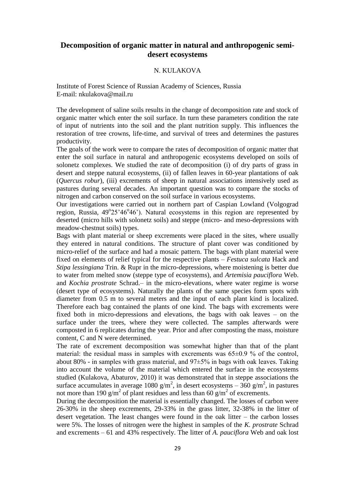#### **Decomposition of organic matter in natural and anthropogenic semidesert ecosystems**

#### N. KULAKOVA

Institute of Forest Science of Russian Academy of Sciences, Russia E-mail: [nkulakova@mail.ru](mailto:nkulakova@mail.ru)

The development of saline soils results in the change of decomposition rate and stock of organic matter which enter the soil surface. In turn these parameters condition the rate of input of nutrients into the soil and the plant nutrition supply. This influences the restoration of tree crowns, life-time, and survival of trees and determines the pastures productivity.

The goals of the work were to compare the rates of decomposition of organic matter that enter the soil surface in natural and anthropogenic ecosystems developed on soils of solonetz complexes. We studied the rate of decomposition (i) of dry parts of grass in desert and steppe natural ecosystems, (ii) of fallen leaves in 60-year plantations of oak (*Quercus robur*), (iii) excrements of sheep in natural associations intensively used as pastures during several decades. An important question was to compare the stocks of nitrogen and carbon conserved on the soil surface in various ecosystems.

Our investigations were carried out in northern part of Caspian Lowland (Volgograd region, Russia, 49°25'46°46'). Natural ecosystems in this region are represented by deserted (micro hills with solonetz soils) and steppe (micro- and meso-depressions with meadow-chestnut soils) types.

Bags with plant material or sheep excrements were placed in the sites, where usually they entered in natural conditions. The structure of plant cover was conditioned by micro-relief of the surface and had a mosaic pattern. The bags with plant material were fixed on elements of relief typical for the respective plants – *Festuca sulcata* Hack and *Stipa lessingiana* Trin. & Rupr in the micro-depressions, where moistening is better due to water from melted snow (steppe type of ecosystems), and *Artemisia pauciflora* Web. and *Kochia prostrate* Schrad.– in the micro-elevations, where water regime is worse (desert type of ecosystems). Naturally the plants of the same species form spots with diameter from 0.5 m to several meters and the input of each plant kind is localized. Therefore each bag contained the plants of one kind. The bags with excrements were fixed both in micro-depressions and elevations, the bags with oak leaves – on the surface under the trees, where they were collected. The samples afterwards were composted in 6 replicates during the year. Prior and after composting the mass, moisture content, C and N were determined.

The rate of excrement decomposition was somewhat higher than that of the plant material: the residual mass in samples with excrements was  $65\pm0.9$  % of the control, about 80% - in samples with grass material, and  $97\pm5\%$  in bags with oak leaves. Taking into account the volume of the material which entered the surface in the ecosystems studied (Kulakova, Abaturov, 2010) it was demonstrated that in steppe associations the surface accumulates in average 1080 g/m<sup>2</sup>, in desert ecosystems –  $360$  g/m<sup>2</sup>, in pastures not more than 190  $\frac{g}{m^2}$  of plant residues and less than 60  $\frac{g}{m^2}$  of excrements.

During the decomposition the material is essentially changed. The losses of carbon were 26-30% in the sheep excrements, 29-33% in the grass litter, 32-38% in the litter of desert vegetation. The least changes were found in the oak litter – the carbon losses were 5%. The losses of nitrogen were the highest in samples of the *K. prostrate* Schrad and excrements – 61 and 43% respectively. The litter of *A. pauciflora* Web and oak lost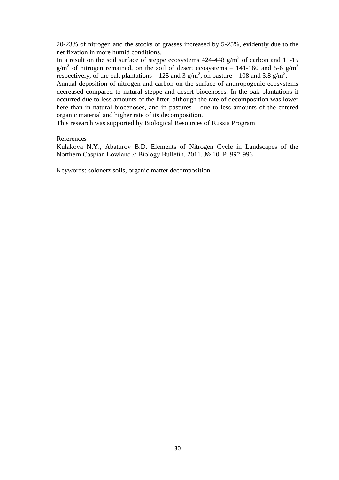20-23% of nitrogen and the stocks of grasses increased by 5-25%, evidently due to the net fixation in more humid conditions.

In a result on the soil surface of steppe ecosystems  $424-448$  g/m<sup>2</sup> of carbon and 11-15  $g/m^2$  of nitrogen remained, on the soil of desert ecosystems – 141-160 and 5-6 g/m<sup>2</sup> respectively, of the oak plantations – 125 and 3  $g/m^2$ , on pasture – 108 and 3.8  $g/m^2$ .

Annual deposition of nitrogen and carbon on the surface of anthropogenic ecosystems decreased compared to natural steppe and desert biocenoses. In the oak plantations it occurred due to less amounts of the litter, although the rate of decomposition was lower here than in natural biocenoses, and in pastures – due to less amounts of the entered organic material and higher rate of its decomposition.

This research was supported by Biological Resources of Russia Program

#### References

Kulakova N.Y., Abaturov B.D. Elements of Nitrogen Cycle in Landscapes of the Northern Caspian Lowland // Biology Bulletin. 2011. № 10. P. 992-996

Keywords: solonetz soils, organic matter decomposition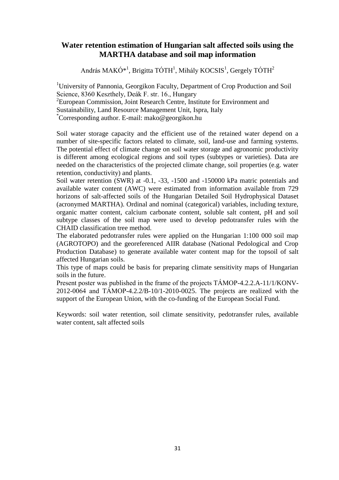#### **Water retention estimation of Hungarian salt affected soils using the MARTHA database and soil map information**

András MAKÓ<sup>\*1</sup>, Brigitta TÓTH<sup>1</sup>, Mihály KOCSIS<sup>1</sup>, Gergely TÓTH<sup>2</sup>

<sup>1</sup>University of Pannonia, Georgikon Faculty, Department of Crop Production and Soil Science, 8360 Keszthely, Deák F. str. 16., Hungary <sup>2</sup> European Commission, Joint Research Centre, Institute for Environment and Sustainability, Land Resource Management Unit, Ispra, Italy \*Corresponding author. E-mail: mako@georgikon.hu

Soil water storage capacity and the efficient use of the retained water depend on a number of site-specific factors related to climate, soil, land-use and farming systems. The potential effect of climate change on soil water storage and agronomic productivity is different among ecological regions and soil types (subtypes or varieties). Data are needed on the characteristics of the projected climate change, soil properties (e.g. water retention, conductivity) and plants.

Soil water retention (SWR) at -0.1, -33, -1500 and -150000 kPa matric potentials and available water content (AWC) were estimated from information available from 729 horizons of salt-affected soils of the Hungarian Detailed Soil Hydrophysical Dataset (acronymed MARTHA). Ordinal and nominal (categorical) variables, including texture, organic matter content, calcium carbonate content, soluble salt content, pH and soil subtype classes of the soil map were used to develop pedotransfer rules with the CHAID classification tree method.

The elaborated pedotransfer rules were applied on the Hungarian 1:100 000 soil map (AGROTOPO) and the georeferenced AIIR database (National Pedological and Crop Production Database) to generate available water content map for the topsoil of salt affected Hungarian soils.

This type of maps could be basis for preparing climate sensitivity maps of Hungarian soils in the future.

Present poster was published in the frame of the projects TÁMOP-4.2.2.A-11/1/KONV-2012-0064 and TÁMOP-4.2.2/B-10/1-2010-0025. The projects are realized with the support of the European Union, with the co-funding of the European Social Fund.

Keywords: soil water retention, soil climate sensitivity, pedotransfer rules, available water content, salt affected soils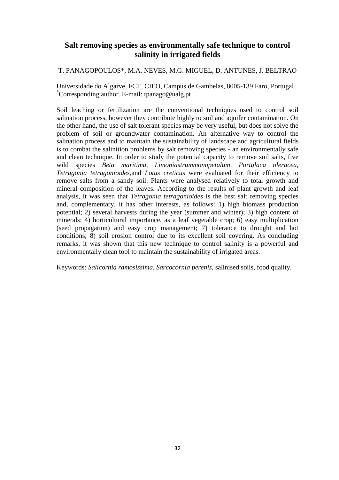## **Salt removing species as environmentally safe technique to control salinity in irrigated fields**

T. PANAGOPOULOS\*, M.A. NEVES, M.G. MIGUEL, D. ANTUNES, J. BELTRAO

Universidade do Algarve, FCT, CIEO, Campus de Gambelas, 8005-139 Faro, Portugal \*Corresponding author. E-mail: tpanago@ualg.pt

Soil leaching or fertilization are the conventional techniques used to control soil salination process, however they contribute highly to soil and aquifer contamination. On the other hand, the use of salt tolerant species may be very useful, but does not solve the problem of soil or groundwater contamination. An alternative way to control the salination process and to maintain the sustainability of landscape and agricultural fields is to combat the salinition problems by salt removing species - an environmentally safe and clean technique. In order to study the potential capacity to remove soil salts, five wild species *Beta maritima, Limoniastrummonopetalum, Portulaca oleracea, Tetragonia tetragonioides*,and *Lotus creticus* were evaluated for their efficiency to remove salts from a sandy soil. Plants were analysed relatively to total growth and mineral composition of the leaves. According to the results of plant growth and leaf analysis, it was seen that *Tetragonia tetragonioides* is the best salt removing species and, complementary, it has other interests, as follows: 1) high biomass production potential; 2) several harvests during the year (summer and winter); 3) high content of minerals; 4) horticultural importance, as a leaf vegetable crop; 6) easy multiplication (seed propagation) and easy crop management; 7) tolerance to drought and hot conditions; 8) soil erosion control due to its excellent soil covering. As concluding remarks, it was shown that this new technique to control salinity is a powerful and environmentally clean tool to maintain the sustainability of irrigated areas.

Keywords: *Salicornia ramosissima, Sarcocornia perenis,* salinised soils, food quality.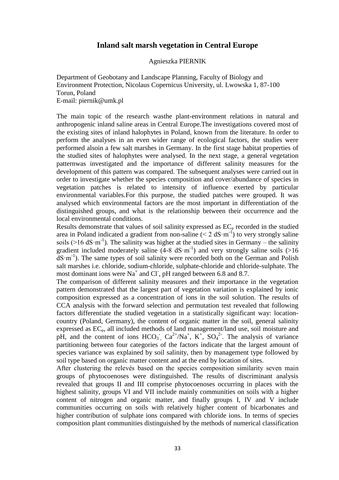#### **Inland salt marsh vegetation in Central Europe**

#### Agnieszka PIERNIK

Department of Geobotany and Landscape Planning, Faculty of Biology and Environment Protection, Nicolaus Copernicus University, ul. Lwowska 1, 87-100 Torun, Poland E-mail: piernik@umk.pl

The main topic of the research wasthe plant-environment relations in natural and anthropogenic inland saline areas in Central Europe.The investigations covered most of the existing sites of inland halophytes in Poland, known from the literature. In order to perform the analyses in an even wider range of ecological factors, the studies were performed alsoin a few salt marshes in Germany. In the first stage habitat properties of the studied sites of halophytes were analysed. In the next stage, a general vegetation patternwas investigated and the importance of different salinity measures for the development of this pattern was compared. The subsequent analyses were carried out in order to investigate whether the species composition and cover/abundance of species in vegetation patches is related to intensity of influence exerted by particular environmental variables.For this purpose, the studied patches were grouped. It was analysed which environmental factors are the most important in differentiation of the distinguished groups, and what is the relationship between their occurrence and the local environmental conditions.

Results demonstrate that values of soil salinity expressed as  $EC<sub>e</sub>$  recorded in the studied area in Poland indicated a gradient from non-saline  $(< 2 \text{ dS} \cdot \text{m}^{-1})$  to very strongly saline soils ( $>16$  dS·m<sup>-1</sup>). The salinity was higher at the studied sites in Germany – the salinity gradient included moderately saline  $(4-8 \text{ dS} \cdot \text{m}^{-1})$  and very strongly saline soils (>16 dS·m-1 ). The same types of soil salinity were recorded both on the German and Polish salt marshes i.e. chloride, sodium-chloride, sulphate-chloride and chloride-sulphate. The most dominant ions were Na<sup>+</sup> and Cl<sup>-</sup>, pH ranged between 6.8 and 8.7.

The comparison of different salinity measures and their importance in the vegetation pattern demonstrated that the largest part of vegetation variation is explained by ionic composition expressed as a concentration of ions in the soil solution. The results of CCA analysis with the forward selection and permutation test revealed that following factors differentiate the studied vegetation in a statistically significant way: locationcountry (Poland, Germany), the content of organic matter in the soil, general salinity expressed as EC<sub>e</sub>, all included methods of land management/land use, soil moisture and pH, and the content of ions  $HCO_3^-$ ,  $Ca^{2+}/Na^+$ ,  $K^+$ ,  $SO_4^2$ . The analysis of variance partitioning between four categories of the factors indicate that the largest amount of species variance was explained by soil salinity, then by management type followed by soil type based on organic matter content and at the end by location of sites.

After clustering the relevés based on the species composition similarity seven main groups of phytocoenoses were distinguished. The results of discriminant analysis revealed that groups II and III comprise phytocoenoses occurring in places with the highest salinity, groups VI and VII include mainly communities on soils with a higher content of nitrogen and organic matter, and finally groups I, IV and V include communities occurring on soils with relatively higher content of bicarbonates and higher contribution of sulphate ions compared with chloride ions. In terms of species composition plant communities distinguished by the methods of numerical classification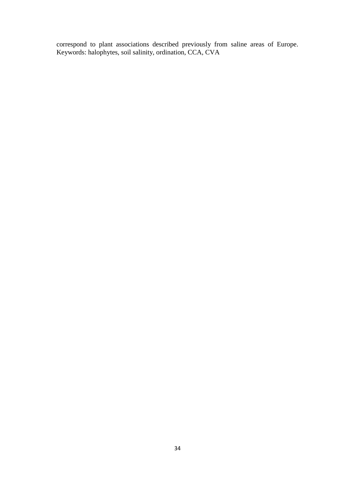correspond to plant associations described previously from saline areas of Europe. Keywords: halophytes, soil salinity, ordination, CCA, CVA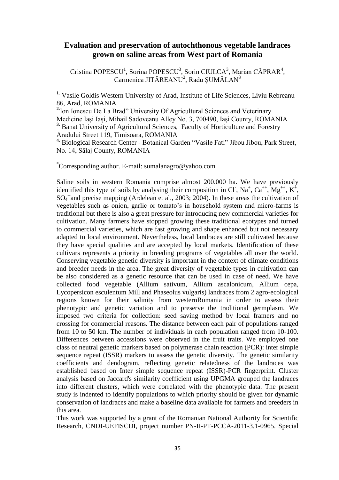#### **Evaluation and preservation of autochthonous vegetable landraces grown on saline areas from West part of Romania**

Cristina POPESCU<sup>1</sup>, Sorina POPESCU<sup>3</sup>, Sorin CIULCA<sup>3</sup>, Marian CĂPRAR<sup>4</sup>, Carmenica JITĂREANU<sup>2</sup>, Radu ȘUMĂLAN<sup>3</sup>

**<sup>1</sup>**. Vasile Goldis Western University of Arad, Institute of Life Sciences, Liviu Rebreanu 86, Arad, ROMANIA

**2.**Ion Ionescu De La Brad" University Of Agricultural Sciences and Veterinary Medicine Iași Iași, Mihail Sadoveanu Alley No. 3, 700490, Iași County, ROMANIA **3.** Banat University of Agricultural Sciences, Faculty of Horticulture and Forestry Aradului Street 119, Timisoara, ROMANIA

**4.** Biological Research Center - Botanical Garden "Vasile Fati" Jibou Jibou, Park Street, No. 14, Sălaj County, ROMANIA

\*Corresponding author. E-mail: sumalanagro@yahoo.com

Saline soils in western Romania comprise almost 200.000 ha. We have previously identified this type of soils by analysing their composition in Cl<sup>-</sup>, Na<sup>+</sup>, Ca<sup>++</sup>, Mg<sup>++</sup>, K<sup>+</sup>, SO<sub>4</sub><sup>-and</sup> precise mapping (Ardelean et al., 2003; 2004). In these areas the cultivation of vegetables such as onion, garlic or tomato's in household system and micro-farms is traditional but there is also a great pressure for introducing new commercial varieties for cultivation. Many farmers have stopped growing these traditional ecotypes and turned to commercial varieties, which are fast growing and shape enhanced but not necessary adapted to local environment. Nevertheless, local landraces are still cultivated because they have special qualities and are accepted by local markets. Identification of these cultivars represents a priority in breeding programs of vegetables all over the world. Conserving vegetable genetic diversity is important in the context of climate conditions and breeder needs in the area. The great diversity of vegetable types in cultivation can be also considered as a genetic resource that can be used in case of need. We have collected food vegetable (Allium sativum, Allium ascalonicum, Allium cepa, Lycopersicon esculentum Mill and Phaseolus vulgaris) landraces from 2 agro-ecological regions known for their salinity from westernRomania in order to assess their phenotypic and genetic variation and to preserve the traditional germplasm. We imposed two criteria for collection: seed saving method by local framers and no crossing for commercial reasons. The distance between each pair of populations ranged from 10 to 50 km. The number of individuals in each population ranged from 10-100. Differences between accessions were observed in the fruit traits. We employed one class of neutral genetic markers based on polymerase chain reaction (PCR): inter simple sequence repeat (ISSR) markers to assess the genetic diversity. The genetic similarity coefficients and dendogram, reflecting genetic relatedness of the landraces was established based on Inter simple sequence repeat (ISSR)-PCR fingerprint. Cluster analysis based on Jaccard's similarity coefficient using UPGMA grouped the landraces into different clusters, which were correlated with the phenotypic data. The present study is indented to identify populations to which priority should be given for dynamic conservation of landraces and make a baseline data available for farmers and breeders in this area.

This work was supported by a grant of the Romanian National Authority for Scientific Research, CNDI-UEFISCDI, project number PN-II-PT-PCCA-2011-3.1-0965. Special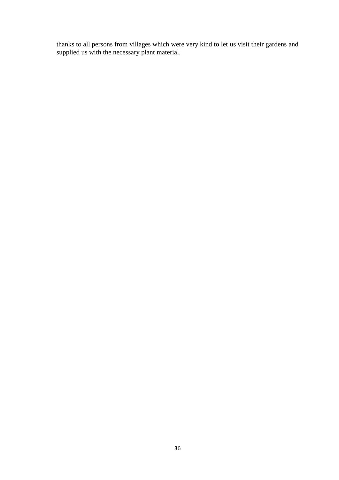thanks to all persons from villages which were very kind to let us visit their gardens and supplied us with the necessary plant material.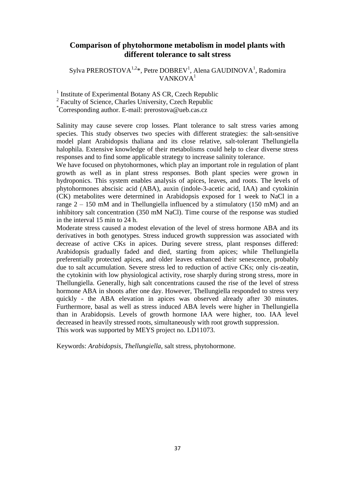#### **Comparison of phytohormone metabolism in model plants with different tolerance to salt stress**

Sylva PREROSTOVA<sup>1,2\*</sup>, Petre DOBREV<sup>1</sup>, Alena GAUDINOVA<sup>1</sup>, Radomira  $VANKOVA<sup>1</sup>$ 

<sup>1</sup> Institute of Experimental Botany AS CR, Czech Republic

<sup>2</sup> Faculty of Science, Charles University, Czech Republic

\*Corresponding author. E-mail: prerostova@ueb.cas.cz

Salinity may cause severe crop losses. Plant tolerance to salt stress varies among species. This study observes two species with different strategies: the salt-sensitive model plant Arabidopsis thaliana and its close relative, salt-tolerant Thellungiella halophila. Extensive knowledge of their metabolisms could help to clear diverse stress responses and to find some applicable strategy to increase salinity tolerance.

We have focused on phytohormones, which play an important role in regulation of plant growth as well as in plant stress responses. Both plant species were grown in hydroponics. This system enables analysis of apices, leaves, and roots. The levels of phytohormones abscisic acid (ABA), auxin (indole-3-acetic acid, IAA) and cytokinin (CK) metabolites were determined in Arabidopsis exposed for 1 week to NaCl in a range  $2 - 150$  mM and in Thellungiella influenced by a stimulatory (150 mM) and an inhibitory salt concentration (350 mM NaCl). Time course of the response was studied in the interval 15 min to 24 h.

Moderate stress caused a modest elevation of the level of stress hormone ABA and its derivatives in both genotypes. Stress induced growth suppression was associated with decrease of active CKs in apices. During severe stress, plant responses differed: Arabidopsis gradually faded and died, starting from apices; while Thellungiella preferentially protected apices, and older leaves enhanced their senescence, probably due to salt accumulation. Severe stress led to reduction of active CKs; only cis-zeatin, the cytokinin with low physiological activity, rose sharply during strong stress, more in Thellungiella. Generally, high salt concentrations caused the rise of the level of stress hormone ABA in shoots after one day. However, Thellungiella responded to stress very quickly - the ABA elevation in apices was observed already after 30 minutes. Furthermore, basal as well as stress induced ABA levels were higher in Thellungiella than in Arabidopsis. Levels of growth hormone IAA were higher, too. IAA level decreased in heavily stressed roots, simultaneously with root growth suppression. This work was supported by MEYS project no. LD11073.

Keywords: *Arabidopsis*, *Thellungiella*, salt stress, phytohormone.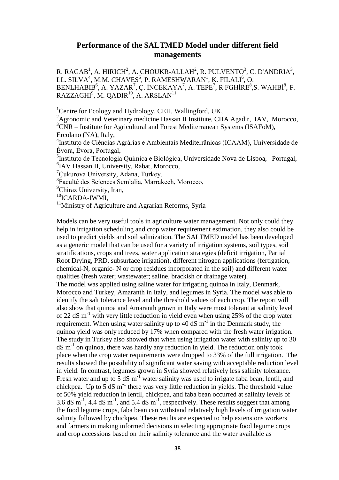#### **Performance of the SALTMED Model under different field managements**

R. RAGAB<sup>1</sup>, A. HIRICH<sup>2</sup>, A. CHOUKR-ALLAH<sup>2</sup>, R. PULVENTO<sup>3</sup>, C. D'ANDRIA<sup>3</sup>, LL. SILVA<sup>4</sup>, M.M. CHAVES<sup>5</sup>, P. RAMESHWARAN<sup>1</sup>, K. FILALI<sup>6</sup>, O.  $\rm BENLHABIB^6,$  A. YAZAR<sup>7</sup>, Ç. İNCEKAYA<sup>7</sup>, A. TEPE<sup>7</sup>, R FGHİRE $^8$ ,S. WAHBİ $^8$ , F. RAZZAGHI $^9$ , M. QADIR $^{10}$ , A. ARSLAN $^{11}$ 

<sup>1</sup>Centre for Ecology and Hydrology, CEH, Wallingford, UK,

<sup>2</sup>Agronomic and Veterinary medicine Hassan II Institute, CHA Agadir, IAV, Morocco,  $3$ CNR – Institute for Agricultural and Forest Mediterranean Systems (ISAFoM), Ercolano (NA), Italy,

4 Instituto de Ciências Agrárias e Ambientais Mediterrânicas (ICAAM), Universidade de Évora, Évora, Portugal,

5 Instituto de Tecnologia Química e Biológica, Universidade Nova de Lisboa, Portugal, 6 IAV Hassan II, University, Rabat, Morocco,

<sup>7</sup>Cukurova University, Adana, Turkey,

8 Faculté des Sciences Semlalia, Marrakech, Morocco,

<sup>9</sup>Chiraz University, Iran,

 $10$ ICARDA-IWMI,

 $11$ Ministry of Agriculture and Agrarian Reforms, Syria

Models can be very useful tools in agriculture water management. Not only could they help in irrigation scheduling and crop water requirement estimation, they also could be used to predict yields and soil salinization. The SALTMED model has been developed as a generic model that can be used for a variety of irrigation systems, soil types, soil stratifications, crops and trees, water application strategies (deficit irrigation, Partial Root Drying, PRD, subsurface irrigation), different nitrogen applications (fertigation, chemical-N, organic- N or crop residues incorporated in the soil) and different water qualities (fresh water; wastewater; saline, brackish or drainage water). The model was applied using saline water for irrigating quinoa in Italy, Denmark, Morocco and Turkey, Amaranth in Italy, and legumes in Syria. The model was able to identify the salt tolerance level and the threshold values of each crop. The report will also show that quinoa and Amaranth grown in Italy were most tolerant at salinity level of 22 dS m-1 with very little reduction in yield even when using 25% of the crop water requirement. When using water salinity up to 40 dS  $m^{-1}$  in the Denmark study, the quinoa yield was only reduced by 17% when compared with the fresh water irrigation. The study in Turkey also showed that when using irrigation water with salinity up to 30 dS m-1 on quinoa, there was hardly any reduction in yield. The reduction only took place when the crop water requirements were dropped to 33% of the full irrigation. The results showed the possibility of significant water saving with acceptable reduction level in yield. In contrast, legumes grown in Syria showed relatively less salinity tolerance. Fresh water and up to  $\frac{5}{9}$  dS m<sup>-1</sup> water salinity was used to irrigate faba bean, lentil, and chickpea. Up to  $\overline{5}$  dS m<sup>-1</sup> there was very little reduction in yields. The threshold value of 50% yield reduction in lentil, chickpea, and faba bean occurred at salinity levels of 3.6 dS  $\text{m}^{-1}$ , 4.4 dS  $\text{m}^{-1}$ , and 5.4 dS  $\text{m}^{-1}$ , respectively. These results suggest that among the food legume crops, faba bean can withstand relatively high levels of irrigation water salinity followed by chickpea. These results are expected to help extensions workers and farmers in making informed decisions in selecting appropriate food legume crops and crop accessions based on their salinity tolerance and the water available as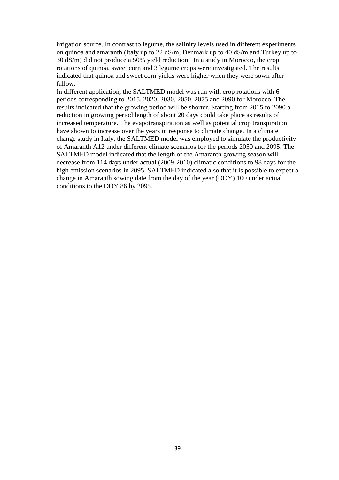irrigation source. In contrast to legume, the salinity levels used in different experiments on quinoa and amaranth (Italy up to 22 dS/m, Denmark up to 40 dS/m and Turkey up to 30 dS/m) did not produce a 50% yield reduction. In a study in Morocco, the crop rotations of quinoa, sweet corn and 3 legume crops were investigated. The results indicated that quinoa and sweet corn yields were higher when they were sown after fallow.

In different application, the SALTMED model was run with crop rotations with 6 periods corresponding to 2015, 2020, 2030, 2050, 2075 and 2090 for Morocco. The results indicated that the growing period will be shorter. Starting from 2015 to 2090 a reduction in growing period length of about 20 days could take place as results of increased temperature. The evapotranspiration as well as potential crop transpiration have shown to increase over the years in response to climate change. In a climate change study in Italy, the SALTMED model was employed to simulate the productivity of Amaranth A12 under different climate scenarios for the periods 2050 and 2095. The SALTMED model indicated that the length of the Amaranth growing season will decrease from 114 days under actual (2009-2010) climatic conditions to 98 days for the high emission scenarios in 2095. SALTMED indicated also that it is possible to expect a change in Amaranth sowing date from the day of the year (DOY) 100 under actual conditions to the DOY 86 by 2095.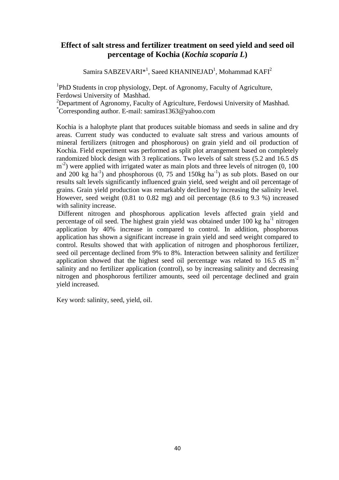## **Effect of salt stress and fertilizer treatment on seed yield and seed oil percentage of Kochia (***Kochia scoparia L***)**

Samira SABZEVARI\*<sup>1</sup>, Saeed KHANINEJAD<sup>1</sup>, Mohammad KAFI<sup>2</sup>

<sup>1</sup>PhD Students in crop physiology, Dept. of Agronomy, Faculty of Agriculture, Ferdowsi University of Mashhad.

<sup>2</sup>Department of Agronomy, Faculty of Agriculture, Ferdowsi University of Mashhad. \*Corresponding author. E-mail: samiras1363@yahoo.com

Kochia is a halophyte plant that produces suitable biomass and seeds in saline and dry areas. Current study was conducted to evaluate salt stress and various amounts of mineral fertilizers (nitrogen and phosphorous) on grain yield and oil production of Kochia. Field experiment was performed as split plot arrangement based on completely randomized block design with 3 replications. Two levels of salt stress (5.2 and 16.5 dS m<sup>-2</sup>) were applied with irrigated water as main plots and three levels of nitrogen (0, 100 and 200 kg  $ha^{-1}$ ) and phosphorous (0, 75 and 150kg  $ha^{-1}$ ) as sub plots. Based on our results salt levels significantly influenced grain yield, seed weight and oil percentage of grains. Grain yield production was remarkably declined by increasing the salinity level. However, seed weight (0.81 to 0.82 mg) and oil percentage (8.6 to 9.3 %) increased with salinity increase.

Different nitrogen and phosphorous application levels affected grain yield and percentage of oil seed. The highest grain yield was obtained under 100 kg ha<sup>-1</sup> nitrogen application by 40% increase in compared to control. In addition, phosphorous application has shown a significant increase in grain yield and seed weight compared to control. Results showed that with application of nitrogen and phosphorous fertilizer, seed oil percentage declined from 9% to 8%. Interaction between salinity and fertilizer application showed that the highest seed oil percentage was related to  $16.5 \text{ dS m}^2$ salinity and no fertilizer application (control), so by increasing salinity and decreasing nitrogen and phosphorous fertilizer amounts, seed oil percentage declined and grain yield increased.

Key word: salinity, seed, yield, oil.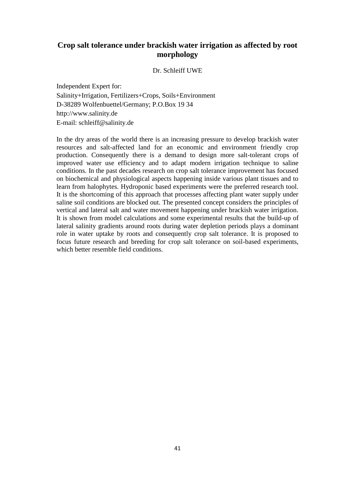## **Crop salt tolerance under brackish water irrigation as affected by root morphology**

Dr. Schleiff UWE

Independent Expert for: Salinity+Irrigation, Fertilizers+Crops, Soils+Environment D-38289 Wolfenbuettel/Germany; P.O.Box 19 34 [http://www.salinity.de](http://www.salinity.de/) E-mail: [schleiff@salinity.de](mailto:schleiff@salinity.de)

In the dry areas of the world there is an increasing pressure to develop brackish water resources and salt-affected land for an economic and environment friendly crop production. Consequently there is a demand to design more salt-tolerant crops of improved water use efficiency and to adapt modern irrigation technique to saline conditions. In the past decades research on crop salt tolerance improvement has focused on biochemical and physiological aspects happening inside various plant tissues and to learn from halophytes. Hydroponic based experiments were the preferred research tool. It is the shortcoming of this approach that processes affecting plant water supply under saline soil conditions are blocked out. The presented concept considers the principles of vertical and lateral salt and water movement happening under brackish water irrigation. It is shown from model calculations and some experimental results that the build-up of lateral salinity gradients around roots during water depletion periods plays a dominant role in water uptake by roots and consequently crop salt tolerance. It is proposed to focus future research and breeding for crop salt tolerance on soil-based experiments, which better resemble field conditions.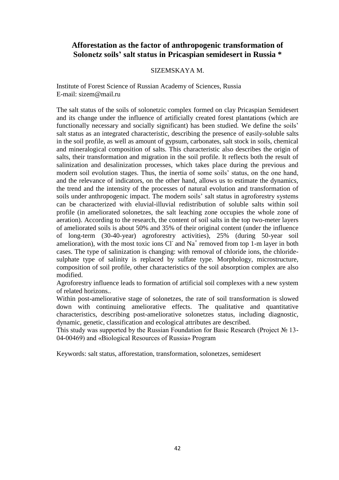## **Afforestation as the factor of anthropogenic transformation of Solonetz soils' salt status in Pricaspian semidesert in Russia \***

#### SIZEMSKAYA M.

Institute of Forest Science of Russian Academy of Sciences, Russia E-mail: [sizem@mail.ru](mailto:sizem@mail.ru)

The salt status of the soils of solonetzic complex formed on clay Pricaspian Semidesert and its change under the influence of artificially created forest plantations (which are functionally necessary and socially significant) has been studied. We define the soils' salt status as an integrated characteristic, describing the presence of easily-soluble salts in the soil profile, as well as amount of gypsum, carbonates, salt stock in soils, chemical and mineralogical composition of salts. This characteristic also describes the origin of salts, their transformation and migration in the soil profile. It reflects both the result of salinization and desalinization processes, which takes place during the previous and modern soil evolution stages. Thus, the inertia of some soils' status, on the one hand, and the relevance of indicators, on the other hand, allows us to estimate the dynamics, the trend and the intensity of the processes of natural evolution and transformation of soils under anthropogenic impact. The modern soils' salt status in agroforestry systems can be characterized with eluvial-illuvial redistribution of soluble salts within soil profile (in ameliorated solonetzes, the salt leaching zone occupies the whole zone of aeration). According to the research, the content of soil salts in the top two-meter layers of ameliorated soils is about 50% and 35% of their original content (under the influence of long-term (30-40-year) agroforestry activities), 25% (during 50-year soil amelioration), with the most toxic ions  $Cl^{\dagger}$  and  $Na^{\dagger}$  removed from top 1-m layer in both cases. The type of salinization is changing: with removal of chloride ions, the chloridesulphate type of salinity is replaced by sulfate type. Morphology, microstructure, composition of soil profile, other characteristics of the soil absorption complex are also modified.

Agroforestry influence leads to formation of artificial soil complexes with a new system of related horizons..

Within post-ameliorative stage of solonetzes, the rate of soil transformation is slowed down with continuing ameliorative effects. The qualitative and quantitative characteristics, describing post-ameliorative solonetzes status, including diagnostic, dynamic, genetic, classification and ecological attributes are described.

This study was supported by the Russian Foundation for Basic Research (Project № 13- 04-00469) and «Biological Resources of Russia» Program

Keywords: salt status, afforestation, transformation, solonetzes, semidesert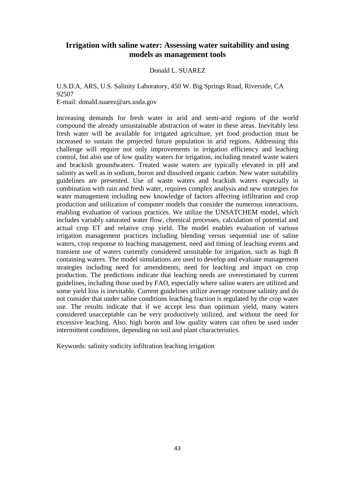#### **Irrigation with saline water: Assessing water suitability and using models as management tools**

#### Donald L. SUAREZ

U.S.D.A, ARS, U.S. Salinity Laboratory, 450 W. Big Springs Road, Riverside, CA 92507 E-mail: donald.suarez@ars.usda.gov

Increasing demands for fresh water in arid and semi-arid regions of the world compound the already unsustainable abstraction of water in these areas. Inevitably less fresh water will be available for irrigated agriculture, yet food production must be increased to sustain the projected future population in arid regions. Addressing this challenge will require not only improvements in irrigation efficiency and leaching control, but also use of low quality waters for irrigation, including treated waste waters and brackish groundwaters. Treated waste waters are typically elevated in pH and salinity as well as in sodium, boron and dissolved organic carbon. New water suitability guidelines are presented. Use of waste waters and brackish waters especially in combination with rain and fresh water, requires complex analysis and new strategies for water management including new knowledge of factors affecting infiltration and crop production and utilization of computer models that consider the numerous interactions, enabling evaluation of various practices. We utilize the UNSATCHEM model, which includes variably saturated water flow, chemical processes, calculation of potential and actual crop ET and relative crop yield. The model enables evaluation of various irrigation management practices including blending versus sequential use of saline waters, crop response to leaching management, need and timing of leaching events and transient use of waters currently considered unsuitable for irrigation, such as high B containing waters. The model simulations are used to develop and evaluate management strategies including need for amendments, need for leaching and impact on crop production. The predictions indicate that leaching needs are overestimated by current guidelines, including those used by FAO, especially where saline waters are utilized and some yield loss is inevitable. Current guidelines utilize average rootzone salinity and do not consider that under saline conditions leaching fraction is regulated by the crop water use. The results indicate that if we accept less than optimum yield, many waters considered unacceptable can be very productively utilized, and without the need for excessive leaching. Also, high boron and low quality waters can often be used under intermittent conditions, depending on soil and plant characteristics.

Keywords: salinity sodicity infiltration leaching irrigation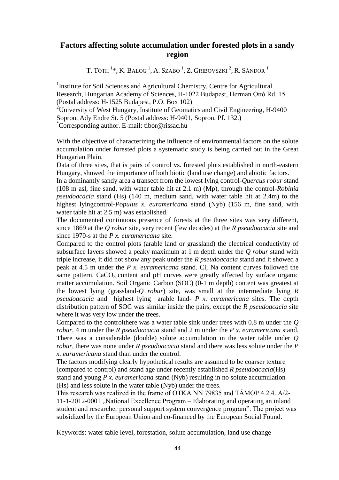## **Factors affecting solute accumulation under forested plots in a sandy region**

T. TÓTH  $^{1}*$ , K. Balog  $^{1}$ , A. Szabó  $^{1}$ , Z. Gribovszki  $^{2}$ , R. Sándor  $^{1}$ 

<sup>1</sup>Institute for Soil Sciences and Agricultural Chemistry, Centre for Agricultural Research, Hungarian Academy of Sciences, H-1022 Budapest, Herman Ottó Rd. 15. (Postal address: H-1525 Budapest, P.O. Box 102)

<sup>2</sup>University of West Hungary, Institute of Geomatics and Civil Engineering, H-9400 Sopron, Ady Endre St. 5 (Postal address: H-9401, Sopron, Pf. 132.) \*Corresponding author. E-mail: [tibor@rissac.hu](mailto:tibor@rissac.hu)

With the objective of characterizing the influence of environmental factors on the solute accumulation under forested plots a systematic study is being carried out in the Great Hungarian Plain.

Data of three sites, that is pairs of control vs. forested plots established in north-eastern Hungary, showed the importance of both biotic (land use change) and abiotic factors.

In a dominantly sandy area a transect from the lowest lying control-*Quercus robur* stand (108 m asl, fine sand, with water table hit at 2.1 m) (Mp), through the control-*Robinia pseudoacacia* stand (Hs) (140 m, medium sand, with water table hit at 2.4m) to the highest lyingcontrol-*[Populus x. euramericana](http://emk.nyme.hu/fileadmin/dokumentumok/emk/termohely/Oktatasi_segedletek/Term_helyismeret-tan/Hallgat_i_kisel_ad_s_Nemesny_r.pdf)* stand (Nyb) (156 m, fine sand, with water table hit at 2.5 m) was established.

The documented continuous presence of forests at the three sites was very different, since 1869 at the *Q robur* site, very recent (few decades) at the *R pseudoacacia* site and since 1970-s at the *P x. euramericana* site.

Compared to the control plots (arable land or grassland) the electrical conductivity of subsurface layers showed a peaky maximum at 1 m depth under the *Q robur* stand with triple increase, it did not show any peak under the *R pseudoacacia* stand and it showed a peak at 4.5 m under the *P x. euramericana* stand. Cl, Na content curves followed the same pattern.  $CaCO<sub>3</sub>$  content and pH curves were greatly affected by surface organic matter accumulation. Soil Organic Carbon (SOC) (0-1 m depth) content was greatest at the lowest lying (grassland-*Q robur*) site, was small at the intermediate lying *R pseudoacacia* and highest lying arable land- *P x. euramericana* sites. The depth distribution pattern of SOC was similar inside the pairs, except the *R pseudoacacia* site where it was very low under the trees.

Compared to the controlthere was a water table sink under trees with 0.8 m under the *Q robur*, 4 m under the *R pseudoacacia* stand and 2 m under the *P x. euramericana* stand. There was a considerable (double) solute accumulation in the water table under *Q robur*, there was none under *R pseudoacacia* stand and there was less solute under the *P x. euramericana* stand than under the control.

The factors modifying clearly hypothetical results are assumed to be coarser texture (compared to control) and stand age under recently established *R pseudoacacia*(Hs) stand and young *P x. euramericana* stand (Nyb) resulting in no solute accumulation (Hs) and less solute in the water table (Nyb) under the trees.

This research was realized in the frame of OTKA NN 79835 and TÁMOP 4.2.4. A/2- 11-1-2012-0001 "National Excellence Program – Elaborating and operating an inland student and researcher personal support system convergence program". The project was subsidized by the European Union and co-financed by the European Social Found.

Keywords: water table level, forestation, solute accumulation, land use change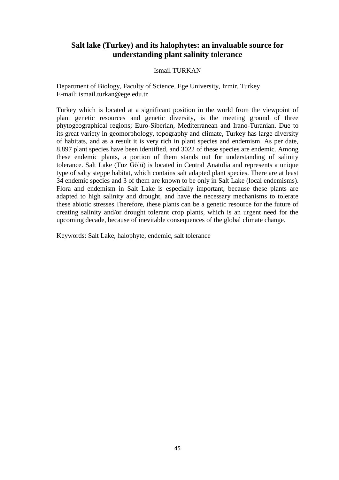## **Salt lake (Turkey) and its halophytes: an invaluable source for understanding plant salinity tolerance**

#### Ismail TURKAN

Department of Biology, Faculty of Science, Ege University, Izmir, Turkey E-mail: ismail.turkan@ege.edu.tr

Turkey which is located at a significant position in the world from the viewpoint of plant genetic resources and genetic diversity, is the meeting ground of three phytogeographical regions; Euro-Siberian, Mediterranean and Irano-Turanian. Due to its great variety in geomorphology, topography and climate, Turkey has large diversity of habitats, and as a result it is very rich in plant species and endemism. As per date, 8,897 plant species have been identified, and 3022 of these species are endemic. Among these endemic plants, a portion of them stands out for understanding of salinity tolerance. Salt Lake (Tuz Gölü) is located in Central Anatolia and represents a unique type of salty steppe habitat, which contains salt adapted plant species. There are at least 34 endemic species and 3 of them are known to be only in Salt Lake (local endemisms). Flora and endemism in Salt Lake is especially important, because these plants are adapted to high salinity and drought, and have the necessary mechanisms to tolerate these abiotic stresses.Therefore, these plants can be a genetic resource for the future of creating salinity and/or drought tolerant crop plants, which is an urgent need for the upcoming decade, because of inevitable consequences of the global climate change.

Keywords: Salt Lake, halophyte, endemic, salt tolerance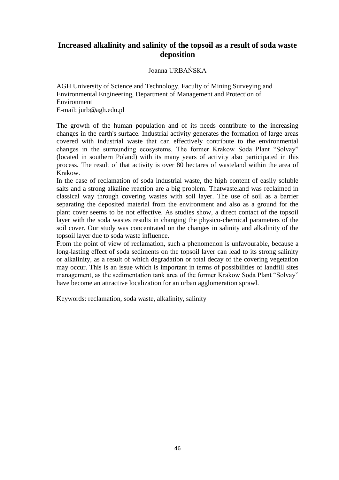## **Increased alkalinity and salinity of the topsoil as a result of soda waste deposition**

Joanna URBAŃSKA

AGH University of Science and Technology, Faculty of Mining Surveying and Environmental Engineering, Department of Management and Protection of Environment E-mail: jurb@agh.edu.pl

The growth of the human population and of its needs contribute to the increasing changes in the earth's surface. Industrial activity generates the formation of large areas covered with industrial waste that can effectively contribute to the environmental changes in the surrounding ecosystems. The former Krakow Soda Plant "Solvay" (located in southern Poland) with its many years of activity also participated in this process. The result of that activity is over 80 hectares of wasteland within the area of Krakow.

In the case of reclamation of soda industrial waste, the high content of easily soluble salts and a strong alkaline reaction are a big problem. Thatwasteland was reclaimed in classical way through covering wastes with soil layer. The use of soil as a barrier separating the deposited material from the environment and also as a ground for the plant cover seems to be not effective. As studies show, a direct contact of the topsoil layer with the soda wastes results in changing the physico-chemical parameters of the soil cover. Our study was concentrated on the changes in salinity and alkalinity of the topsoil layer due to soda waste influence.

From the point of view of reclamation, such a phenomenon is unfavourable, because a long-lasting effect of soda sediments on the topsoil layer can lead to its strong salinity or alkalinity, as a result of which degradation or total decay of the covering vegetation may occur. This is an issue which is important in terms of possibilities of landfill sites management, as the sedimentation tank area of the former Krakow Soda Plant "Solvay" have become an attractive localization for an urban agglomeration sprawl.

Keywords: reclamation, soda waste, alkalinity, salinity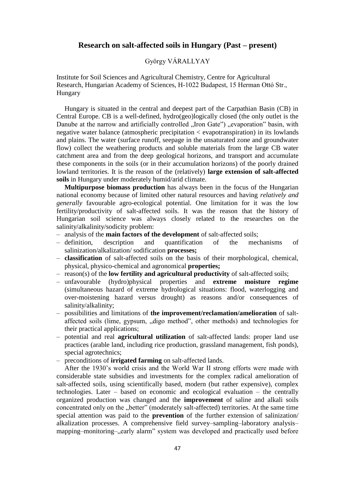#### **Research on salt-affected soils in Hungary (Past – present)**

#### György VÁRALLYAY

Institute for Soil Sciences and Agricultural Chemistry, Centre for Agricultural Research, Hungarian Academy of Sciences, H-1022 Budapest, 15 Herman Ottó Str., Hungary

Hungary is situated in the central and deepest part of the Carpathian Basin (CB) in Central Europe. CB is a well-defined, hydro(geo)logically closed (the only outlet is the Danube at the narrow and artificially controlled "Iron Gate") "evaporation" basin, with negative water balance (atmospheric precipitation < evapotranspiration) in its lowlands and plains. The water (surface runoff, seepage in the unsaturated zone and groundwater flow) collect the weathering products and soluble materials from the large CB water catchment area and from the deep geological horizons, and transport and accumulate these components in the soils (or in their accumulation horizons) of the poorly drained lowland territories. It is the reason of the (relatively) **large extension of salt-affected soils** in Hungary under moderately humid/arid climate.

**Multipurpose biomass production** has always been in the focus of the Hungarian national economy because of limited other natural resources and having *relatively and generally* favourable agro-ecological potential. One limitation for it was the low fertility/productivity of salt-affected soils. It was the reason that the history of Hungarian soil science was always closely related to the researches on the salinity/alkalinity/sodicity problem:

- analysis of the **main factors of the development** of salt-affected soils;
- definition, description and quantification of the mechanisms of salinization/alkalization/ sodification **processes;**
- **classification** of salt-affected soils on the basis of their morphological, chemical, physical, physico-chemical and agronomical **properties;**
- reason(s) of the **low fertility and agricultural productivity** of salt-affected soils;
- unfavourable (hydro)physical properties and **extreme moisture regime**  (simultaneous hazard of extreme hydrological situations: flood, waterlogging and over-moistening hazard versus drought) as reasons and/or consequences of salinity/alkalinity;
- possibilities and limitations of **the improvement/reclamation/amelioration** of saltaffected soils (lime, gypsum, "digo method", other methods) and technologies for their practical applications;
- potential and real **agricultural utilization** of salt-affected lands: proper land use practices (arable land, including rice production, grassland management, fish ponds), special agrotechnics;
- preconditions of **irrigated farming** on salt-affected lands.

After the 1930's world crisis and the World War II strong efforts were made with considerable state subsidies and investments for the complex radical amelioration of salt-affected soils, using scientifically based, modern (but rather expensive), complex technologies. Later – based on economic and ecological evaluation – the centrally organized production was changed and the **improvement** of saline and alkali soils concentrated only on the "better" (moderately salt-affected) territories. At the same time special attention was paid to the **prevention** of the further extension of salinization/ alkalization processes. A comprehensive field survey–sampling–laboratory analysis– mapping–monitoring–, early alarm" system was developed and practically used before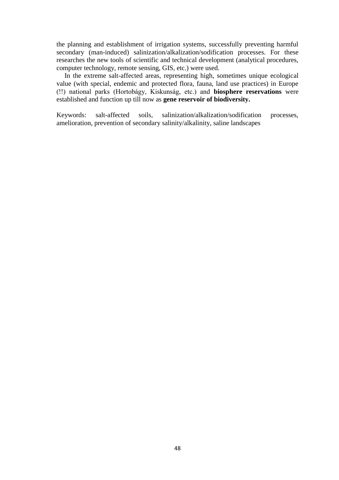the planning and establishment of irrigation systems, successfully preventing harmful secondary (man-induced) salinization/alkalization/sodification processes. For these researches the new tools of scientific and technical development (analytical procedures, computer technology, remote sensing, GIS, etc.) were used.

In the extreme salt-affected areas, representing high, sometimes unique ecological value (with special, endemic and protected flora, fauna, land use practices) in Europe (!!) national parks (Hortobágy, Kiskunság, etc.) and **biosphere reservations** were established and function up till now as **gene reservoir of biodiversity.** 

Keywords: salt-affected soils, salinization/alkalization/sodification processes, amelioration, prevention of secondary salinity/alkalinity, saline landscapes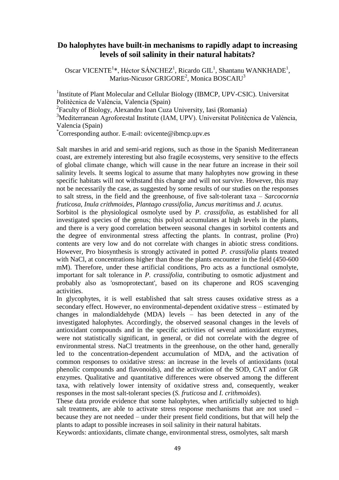#### **Do halophytes have built-in mechanisms to rapidly adapt to increasing levels of soil salinity in their natural habitats?**

Oscar VICENTE<sup>1</sup>\*, Héctor SÁNCHEZ<sup>1</sup>, Ricardo GIL<sup>1</sup>, Shantanu WANKHADE<sup>1</sup>, Marius-Nicusor GRIGORE<sup>2</sup>, Monica BOSCAIU<sup>3</sup>

<sup>1</sup> Institute of Plant Molecular and Cellular Biology (IBMCP, UPV-CSIC). Universitat Politècnica de València, Valencia (Spain)

<sup>2</sup> Faculty of Biology, Alexandru Ioan Cuza University, Iasi (Romania)

<sup>3</sup>Mediterranean Agroforestal Institute (IAM, UPV). Universitat Politècnica de València, Valencia (Spain)

\*Corresponding author. E-mail: [ovicente@ibmcp.upv.es](mailto:ovicente@ibmcp.upv.es)

Salt marshes in arid and semi-arid regions, such as those in the Spanish Mediterranean coast, are extremely interesting but also fragile ecosystems, very sensitive to the effects of global climate change, which will cause in the near future an increase in their soil salinity levels. It seems logical to assume that many halophytes now growing in these specific habitats will not withstand this change and will not survive. However, this may not be necessarily the case, as suggested by some results of our studies on the responses to salt stress, in the field and the greenhouse, of five salt-tolerant taxa – *Sarcocornia fruticosa*, *Inula crithmoides*, *Plantago crassifolia*, *Juncus maritimus* and *J. acutus*.

Sorbitol is the physiological osmolyte used by *P. crassifolia*, as established for all investigated species of the genus; this polyol accumulates at high levels in the plants, and there is a very good correlation between seasonal changes in sorbitol contents and the degree of environmental stress affecting the plants. In contrast, proline (Pro) contents are very low and do not correlate with changes in abiotic stress conditions. However, Pro biosynthesis is strongly activated in potted *P. crassifolia* plants treated with NaCl, at concentrations higher than those the plants encounter in the field (450-600) mM). Therefore, under these artificial conditions, Pro acts as a functional osmolyte, important for salt tolerance in *P. crassifolia*, contributing to osmotic adjustment and probably also as 'osmoprotectant', based on its chaperone and ROS scavenging activities.

In glycophytes, it is well established that salt stress causes oxidative stress as a secondary effect. However, no environmental-dependent oxidative stress – estimated by changes in malondialdehyde (MDA) levels – has been detected in any of the investigated halophytes. Accordingly, the observed seasonal changes in the levels of antioxidant compounds and in the specific activities of several antioxidant enzymes, were not statistically significant, in general, or did not correlate with the degree of environmental stress. NaCl treatments in the greenhouse, on the other hand, generally led to the concentration-dependent accumulation of MDA, and the activation of common responses to oxidative stress: an increase in the levels of antioxidants (total phenolic compounds and flavonoids), and the activation of the SOD, CAT and/or GR enzymes. Qualitative and quantitative differences were observed among the different taxa, with relatively lower intensity of oxidative stress and, consequently, weaker responses in the most salt-tolerant species (*S. fruticosa* and *I. crithmoides*).

These data provide evidence that some halophytes, when artificially subjected to high salt treatments, are able to activate stress response mechanisms that are not used – because they are not needed – under their present field conditions, but that will help the plants to adapt to possible increases in soil salinity in their natural habitats.

Keywords: antioxidants, climate change, environmental stress, osmolytes, salt marsh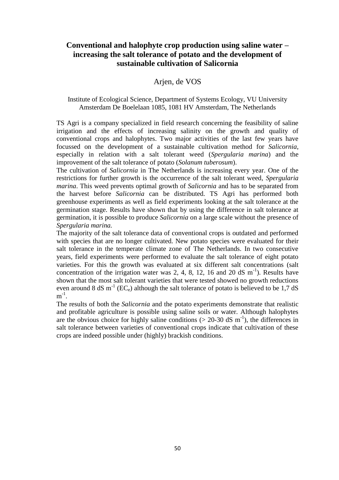## **Conventional and halophyte crop production using saline water – increasing the salt tolerance of potato and the development of sustainable cultivation of Salicornia**

#### Arjen, de VOS

#### Institute of Ecological Science, Department of Systems Ecology, VU University Amsterdam De Boelelaan 1085, 1081 HV Amsterdam, The Netherlands

TS Agri is a company specialized in field research concerning the feasibility of saline irrigation and the effects of increasing salinity on the growth and quality of conventional crops and halophytes. Two major activities of the last few years have focussed on the development of a sustainable cultivation method for *Salicornia*, especially in relation with a salt tolerant weed (*Spergularia marina*) and the improvement of the salt tolerance of potato (*Solanum tuberosum*).

The cultivation of *Salicornia* in The Netherlands is increasing every year. One of the restrictions for further growth is the occurrence of the salt tolerant weed, *Spergularia marina*. This weed prevents optimal growth of *Salicornia* and has to be separated from the harvest before *Salicornia* can be distributed. TS Agri has performed both greenhouse experiments as well as field experiments looking at the salt tolerance at the germination stage. Results have shown that by using the difference in salt tolerance at germination, it is possible to produce *Salicornia* on a large scale without the presence of *Spergularia marina.*

The majority of the salt tolerance data of conventional crops is outdated and performed with species that are no longer cultivated. New potato species were evaluated for their salt tolerance in the temperate climate zone of The Netherlands. In two consecutive years, field experiments were performed to evaluate the salt tolerance of eight potato varieties. For this the growth was evaluated at six different salt concentrations (salt concentration of the irrigation water was 2, 4, 8, 12, 16 and 20 dS  $m^{-1}$ ). Results have shown that the most salt tolerant varieties that were tested showed no growth reductions even around 8 dS m<sup>-1</sup> (EC<sub>e</sub>) although the salt tolerance of potato is believed to be 1,7 dS  $m^{-1}$ .

The results of both the *Salicornia* and the potato experiments demonstrate that realistic and profitable agriculture is possible using saline soils or water. Although halophytes are the obvious choice for highly saline conditions ( $> 20-30$  dS m<sup>-1</sup>), the differences in salt tolerance between varieties of conventional crops indicate that cultivation of these crops are indeed possible under (highly) brackish conditions.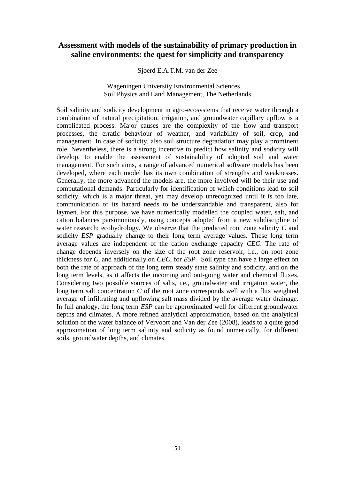#### **Assessment with models of the sustainability of primary production in saline environments: the quest for simplicity and transparency**

Sjoerd E.A.T.M. van der Zee

Wageningen University Environmental Sciences Soil Physics and Land Management, The Netherlands

Soil salinity and sodicity development in agro-ecosystems that receive water through a combination of natural precipitation, irrigation, and groundwater capillary upflow is a complicated process. Major causes are the complexity of the flow and transport processes, the erratic behaviour of weather, and variability of soil, crop, and management. In case of sodicity, also soil structure degradation may play a prominent role. Nevertheless, there is a strong incentive to predict how salinity and sodicity will develop, to enable the assessment of sustainability of adopted soil and water management. For such aims, a range of advanced numerical software models has been developed, where each model has its own combination of strengths and weaknesses. Generally, the more advanced the models are, the more involved will be their use and computational demands. Particularly for identification of which conditions lead to soil sodicity, which is a major threat, yet may develop unrecognized until it is too late, communication of its hazard needs to be understandable and transparent, also for laymen. For this purpose, we have numerically modelled the coupled water, salt, and cation balances parsimoniously, using concepts adopted from a new subdiscipline of water research: ecohydrology. We observe that the predicted root zone salinity *C* and sodicity *ESP* gradually change to their long term average values. These long term average values are independent of the cation exchange capacity *CEC*. The rate of change depends inversely on the size of the root zone reservoir, i.e., on root zone thickness for *C*, and additionally on *CEC*, for *ESP.* Soil type can have a large effect on both the rate of approach of the long term steady state salinity and sodicity, and on the long term levels, as it affects the incoming and out-going water and chemical fluxes. Considering two possible sources of salts, i.e., groundwater and irrigation water, the long term salt concentration *C* of the root zone corresponds well with a flux weighted average of infiltrating and upflowing salt mass divided by the average water drainage. In full analogy, the long term *ESP* can be approximated well for different groundwater depths and climates. A more refined analytical approximation, based on the analytical solution of the water balance of Vervoort and Van der Zee (2008), leads to a quite good approximation of long term salinity and sodicity as found numerically, for different soils, groundwater depths, and climates.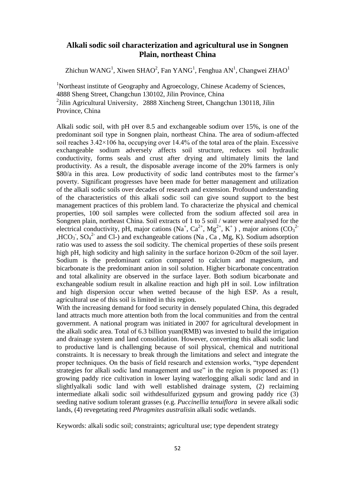#### **Alkali sodic soil characterization and agricultural use in Songnen Plain, northeast China**

Zhichun WANG<sup>1</sup>, Xiwen SHAO<sup>2</sup>, Fan YANG<sup>1</sup>, Fenghua AN<sup>1</sup>, Changwei ZHAO<sup>1</sup>

<sup>1</sup>Northeast institute of Geography and Agroecology, Chinese Academy of Sciences, 4888 Sheng Street, Changchun 130102, Jilin Province, China <sup>2</sup> Jilin Agricultural University, 2888 Xincheng Street, Changchun 130118, Jilin Province, China

Alkali sodic soil, with pH over 8.5 and exchangeable sodium over 15%, is one of the predominant soil type in Songnen plain, northeast China. The area of sodium-affected soil reaches  $3.42 \times 106$  ha, occupying over 14.4% of the total area of the plain. Excessive exchangeable sodium adversely affects soil structure, reduces soil hydraulic conductivity, forms seals and crust after drying and ultimately limits the land productivity. As a result, the disposable average income of the 20% farmers is only \$80/a in this area. Low productivity of sodic land contributes most to the farmer's poverty. Significant progresses have been made for better management and utilization of the alkali sodic soils over decades of research and extension. Profound understanding of the characteristics of this alkali sodic soil can give sound support to the best management practices of this problem land. To characterize the physical and chemical properties, 100 soil samples were collected from the sodium affected soil area in Songnen plain, northeast China. Soil extracts of 1 to 5 soil / water were analysed for the electrical conductivity, pH, major cations  $(Na^+, Ca^{2+}, Mg^{2+}, K^+)$ , major anions  $(CO_3^{2+})$ ,HCO<sub>3</sub>, SO<sub>4</sub><sup>2</sup> and Cl-) and exchangeable cations (Na, Ca, Mg, K). Sodium adsorption ratio was used to assess the soil sodicity. The chemical properties of these soils present high pH, high sodicity and high salinity in the surface horizon 0-20cm of the soil layer. Sodium is the predominant cation compared to calcium and magnesium, and bicarbonate is the predominant anion in soil solution. Higher bicarbonate concentration and total alkalinity are observed in the surface layer. Both sodium bicarbonate and exchangeable sodium result in alkaline reaction and high pH in soil. Low infiltration and high dispersion occur when wetted because of the high ESP. As a result, agricultural use of this soil is limited in this region.

With the increasing demand for food security in densely populated China, this degraded land attracts much more attention both from the local communities and from the central government. A national program was initiated in 2007 for agricultural development in the alkali sodic area. Total of 6.3 billion yuan(RMB) was invested to build the irrigation and drainage system and land consolidation. However, converting this alkali sodic land to productive land is challenging because of soil physical, chemical and nutritional constraints. It is necessary to break through the limitations and select and integrate the proper techniques. On the basis of field research and extension works, "type dependent strategies for alkali sodic land management and use" in the region is proposed as: (1) growing paddy rice cultivation in lower laying waterlogging alkali sodic land and in slightlyalkali sodic land with well established drainage system, (2) reclaiming intermediate alkali sodic soil withdesulfurized gypsum and growing paddy rice (3) seeding native sodium tolerant grasses (e.g. *Puccinellia tenuiflora* in severe alkali sodic lands, (4) revegetating reed *Phragmites australis*in alkali sodic wetlands.

Keywords: alkali sodic soil; constraints; agricultural use; type dependent strategy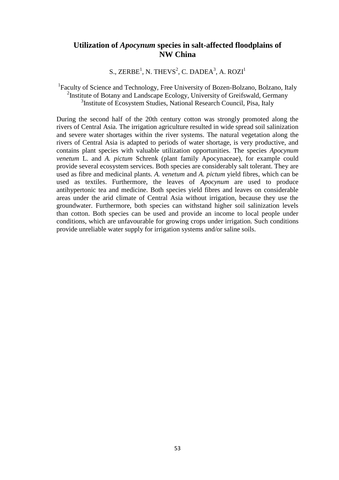#### **Utilization of** *Apocynum* **species in salt-affected floodplains of NW China**

S.,  $\text{ZERBE}^1$ , N. THEVS<sup>2</sup>, C. DADEA<sup>3</sup>, A. ROZI<sup>1</sup>

<sup>1</sup>Faculty of Science and Technology, Free University of Bozen-Bolzano, Bolzano, Italy <sup>2</sup>Institute of Botany and Landscape Ecology, University of Greifswald, Germany <sup>3</sup>Institute of Ecosystem Studies, National Research Council, Pisa, Italy

During the second half of the 20th century cotton was strongly promoted along the rivers of Central Asia. The irrigation agriculture resulted in wide spread soil salinization and severe water shortages within the river systems. The natural vegetation along the rivers of Central Asia is adapted to periods of water shortage, is very productive, and contains plant species with valuable utilization opportunities. The species *Apocynum venetum* L. and *A. pictum* Schrenk (plant family Apocynaceae), for example could provide several ecosystem services. Both species are considerably salt tolerant. They are used as fibre and medicinal plants. *A. venetum* and *A. pictum* yield fibres, which can be used as textiles. Furthermore, the leaves of *Apocynum* are used to produce antihypertonic tea and medicine. Both species yield fibres and leaves on considerable areas under the arid climate of Central Asia without irrigation, because they use the groundwater. Furthermore, both species can withstand higher soil salinization levels than cotton. Both species can be used and provide an income to local people under conditions, which are unfavourable for growing crops under irrigation. Such conditions provide unreliable water supply for irrigation systems and/or saline soils.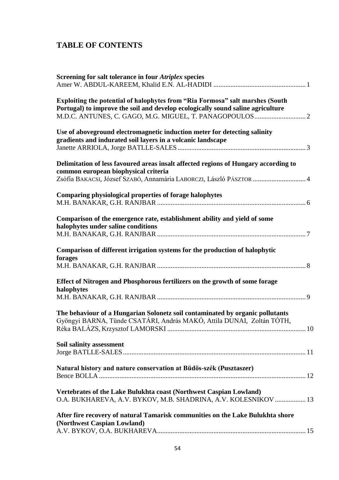## **TABLE OF CONTENTS**

| Screening for salt tolerance in four Atriplex species                                                                                                                                              |  |
|----------------------------------------------------------------------------------------------------------------------------------------------------------------------------------------------------|--|
| Exploiting the potential of halophytes from "Ria Formosa" salt marshes (South<br>Portugal) to improve the soil and develop ecologically sound saline agriculture                                   |  |
| Use of aboveground electromagnetic induction meter for detecting salinity<br>gradients and indurated soil layers in a volcanic landscape                                                           |  |
| Delimitation of less favoured areas insalt affected regions of Hungary according to<br>common european biophysical criteria<br>Zsófia BAKACSI, József SzABÓ, Annamária LABORCZI, László PÁSZTOR  4 |  |
| Comparing physiological properties of forage halophytes                                                                                                                                            |  |
| Comparison of the emergence rate, establishment ability and yield of some<br>halophytes under saline conditions                                                                                    |  |
| Comparison of different irrigation systems for the production of halophytic<br>forages                                                                                                             |  |
| Effect of Nitrogen and Phosphorous fertilizers on the growth of some forage<br>halophytes                                                                                                          |  |
| The behaviour of a Hungarian Solonetz soil contaminated by organic pollutants<br>Gyöngyi BARNA, Tünde CSATÁRI, András MAKÓ, Attila DUNAI, Zoltán TÓTH,                                             |  |
| Soil salinity assessment                                                                                                                                                                           |  |
| Natural history and nature conservation at Büdös-szék (Pusztaszer)                                                                                                                                 |  |
| Vertebrates of the Lake Bulukhta coast (Northwest Caspian Lowland)<br>O.A. BUKHAREVA, A.V. BYKOV, M.B. SHADRINA, A.V. KOLESNIKOV  13                                                               |  |
| After fire recovery of natural Tamarisk communities on the Lake Bulukhta shore<br>(Northwest Caspian Lowland)                                                                                      |  |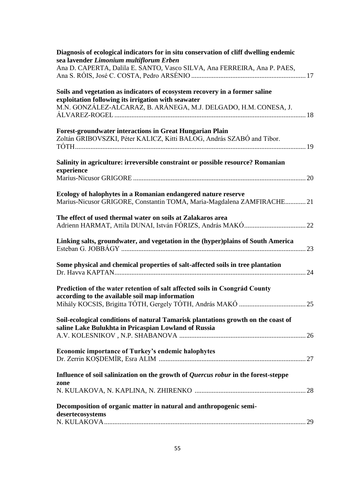| Diagnosis of ecological indicators for in situ conservation of cliff dwelling endemic<br>sea lavender Limonium multiflorum Erben |  |
|----------------------------------------------------------------------------------------------------------------------------------|--|
| Ana D. CAPERTA, Dalila E. SANTO, Vasco SILVA, Ana FERREIRA, Ana P. PAES,                                                         |  |
| Soils and vegetation as indicators of ecosystem recovery in a former saline                                                      |  |
| exploitation following its irrigation with seawater                                                                              |  |
| M.N. GONZÁLEZ-ALCARAZ, B. ARÁNEGA, M.J. DELGADO, H.M. CONESA, J.                                                                 |  |
| <b>Forest-groundwater interactions in Great Hungarian Plain</b>                                                                  |  |
| Zoltán GRIBOVSZKI, Péter KALICZ, Kitti BALOG, András SZABÓ and Tibor.                                                            |  |
|                                                                                                                                  |  |
| Salinity in agriculture: irreversible constraint or possible resource? Romanian<br>experience                                    |  |
|                                                                                                                                  |  |
| Ecology of halophytes in a Romanian endangered nature reserve                                                                    |  |
| Marius-Nicusor GRIGORE, Constantin TOMA, Maria-Magdalena ZAMFIRACHE21                                                            |  |
| The effect of used thermal water on soils at Zalakaros area                                                                      |  |
|                                                                                                                                  |  |
| Linking salts, groundwater, and vegetation in the (hyper)plains of South America                                                 |  |
|                                                                                                                                  |  |
| Some physical and chemical properties of salt-affected soils in tree plantation                                                  |  |
|                                                                                                                                  |  |
| Prediction of the water retention of salt affected soils in Csongrád County                                                      |  |
| according to the available soil map information                                                                                  |  |
|                                                                                                                                  |  |
| Soil-ecological conditions of natural Tamarisk plantations growth on the coast of                                                |  |
| saline Lake Bulukhta in Pricaspian Lowland of Russia                                                                             |  |
|                                                                                                                                  |  |
| <b>Economic importance of Turkey's endemic halophytes</b>                                                                        |  |
|                                                                                                                                  |  |
| Influence of soil salinization on the growth of <i>Quercus robur</i> in the forest-steppe                                        |  |
| zone                                                                                                                             |  |
|                                                                                                                                  |  |
| Decomposition of organic matter in natural and anthropogenic semi-<br>desertecosystems                                           |  |
|                                                                                                                                  |  |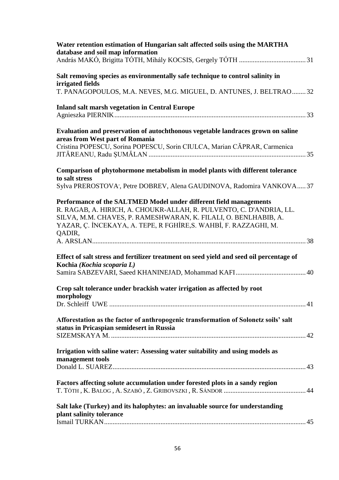| Water retention estimation of Hungarian salt affected soils using the MARTHA<br>database and soil map information                                                                                                                                                                          |
|--------------------------------------------------------------------------------------------------------------------------------------------------------------------------------------------------------------------------------------------------------------------------------------------|
| Salt removing species as environmentally safe technique to control salinity in<br>irrigated fields<br>T. PANAGOPOULOS, M.A. NEVES, M.G. MIGUEL, D. ANTUNES, J. BELTRAO 32                                                                                                                  |
| <b>Inland salt marsh vegetation in Central Europe</b>                                                                                                                                                                                                                                      |
| Evaluation and preservation of autochthonous vegetable landraces grown on saline<br>areas from West part of Romania<br>Cristina POPESCU, Sorina POPESCU, Sorin CIULCA, Marian CĂPRAR, Carmenica                                                                                            |
| Comparison of phytohormone metabolism in model plants with different tolerance<br>to salt stress<br>Sylva PREROSTOVA', Petre DOBREV, Alena GAUDINOVA, Radomira VANKOVA 37                                                                                                                  |
| Performance of the SALTMED Model under different field managements<br>R. RAGAB, A. HIRICH, A. CHOUKR-ALLAH, R. PULVENTO, C. D'ANDRIA, LL.<br>SILVA, M.M. CHAVES, P. RAMESHWARAN, K. FILALI, O. BENLHABIB, A.<br>YAZAR, Ç. İNCEKAYA, A. TEPE, R FGHİRE, S. WAHBİ, F. RAZZAGHI, M.<br>QADIR, |
|                                                                                                                                                                                                                                                                                            |
| Effect of salt stress and fertilizer treatment on seed yield and seed oil percentage of<br>Kochia (Kochia scoparia L)                                                                                                                                                                      |
| Crop salt tolerance under brackish water irrigation as affected by root<br>morphology                                                                                                                                                                                                      |
| Afforestation as the factor of anthropogenic transformation of Solonetz soils' salt<br>status in Pricaspian semidesert in Russia                                                                                                                                                           |
| Irrigation with saline water: Assessing water suitability and using models as<br>management tools                                                                                                                                                                                          |
| Factors affecting solute accumulation under forested plots in a sandy region                                                                                                                                                                                                               |
| Salt lake (Turkey) and its halophytes: an invaluable source for understanding<br>plant salinity tolerance                                                                                                                                                                                  |